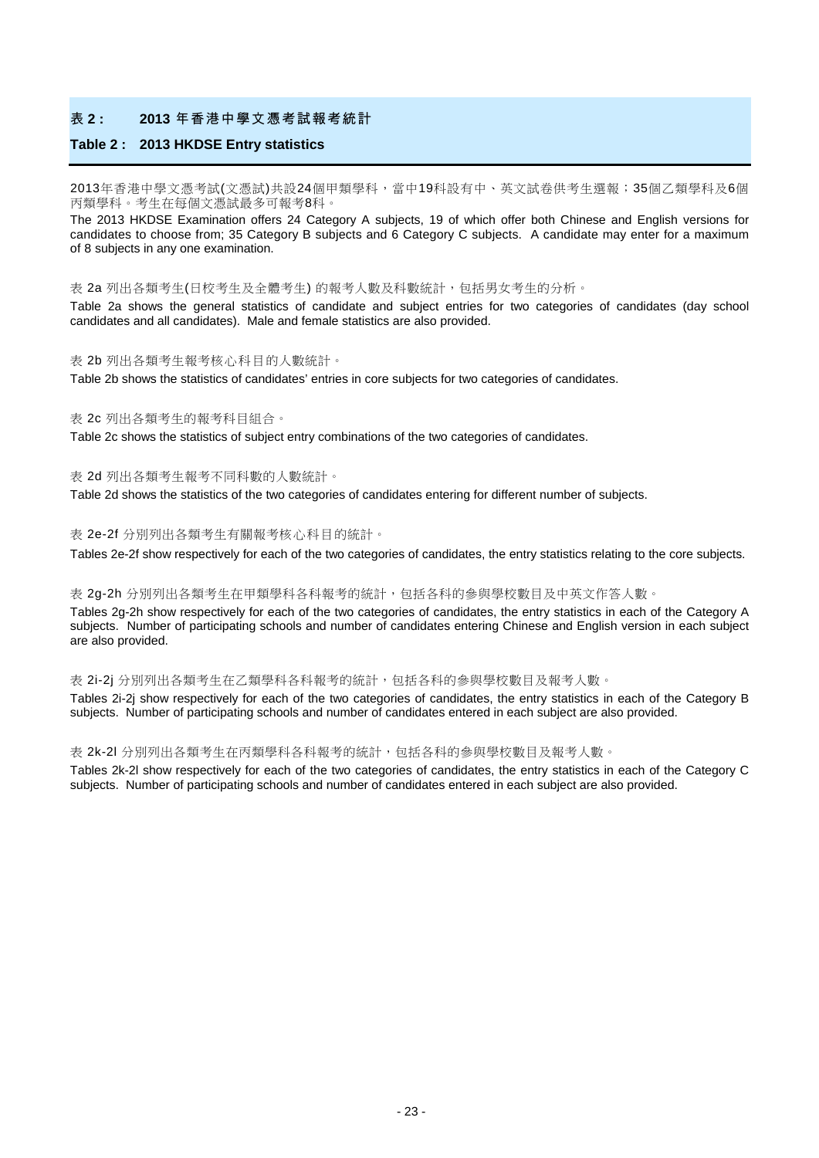#### 表 **2 : 2013** 年香港中學文憑考試報考統計

#### **Table 2 : 2013 HKDSE Entry statistics**

2013年香港中學文憑考試(文憑試)共設24個甲類學科,當中19科設有中、英文試卷供考生選報;35個乙類學科及6個 丙類學科。考生在每個文憑試最多可報考8科。

The 2013 HKDSE Examination offers 24 Category A subjects, 19 of which offer both Chinese and English versions for candidates to choose from; 35 Category B subjects and 6 Category C subjects. A candidate may enter for a maximum of 8 subjects in any one examination.

表 2a 列出各類考生(日校考生及全體考生) 的報考人數及科數統計,包括男女考生的分析。

Table 2a shows the general statistics of candidate and subject entries for two categories of candidates (day school candidates and all candidates). Male and female statistics are also provided.

#### 表 2b 列出各類考生報考核心科目的人數統計。

Table 2b shows the statistics of candidates' entries in core subjects for two categories of candidates.

#### 表 2c 列出各類考生的報考科目組合。

Table 2c shows the statistics of subject entry combinations of the two categories of candidates.

表 2d 列出各類考生報考不同科數的人數統計。

Table 2d shows the statistics of the two categories of candidates entering for different number of subjects.

#### 表 2e-2f 分別列出各類考生有關報考核心科目的統計。

Tables 2e-2f show respectively for each of the two categories of candidates, the entry statistics relating to the core subjects.

#### 表 2g-2h 分別列出各類考生在甲類學科各科報考的統計,包括各科的參與學校數目及中英文作答人數。

Tables 2g-2h show respectively for each of the two categories of candidates, the entry statistics in each of the Category A subjects. Number of participating schools and number of candidates entering Chinese and English version in each subject are also provided.

表 2i-2j 分別列出各類考生在乙類學科各科報考的統計,包括各科的參與學校數目及報考人數。

Tables 2i-2j show respectively for each of the two categories of candidates, the entry statistics in each of the Category B subjects. Number of participating schools and number of candidates entered in each subject are also provided.

表 2k-2l 分別列出各類考生在丙類學科各科報考的統計,包括各科的參與學校數目及報考人數。

Tables 2k-2l show respectively for each of the two categories of candidates, the entry statistics in each of the Category C subjects. Number of participating schools and number of candidates entered in each subject are also provided.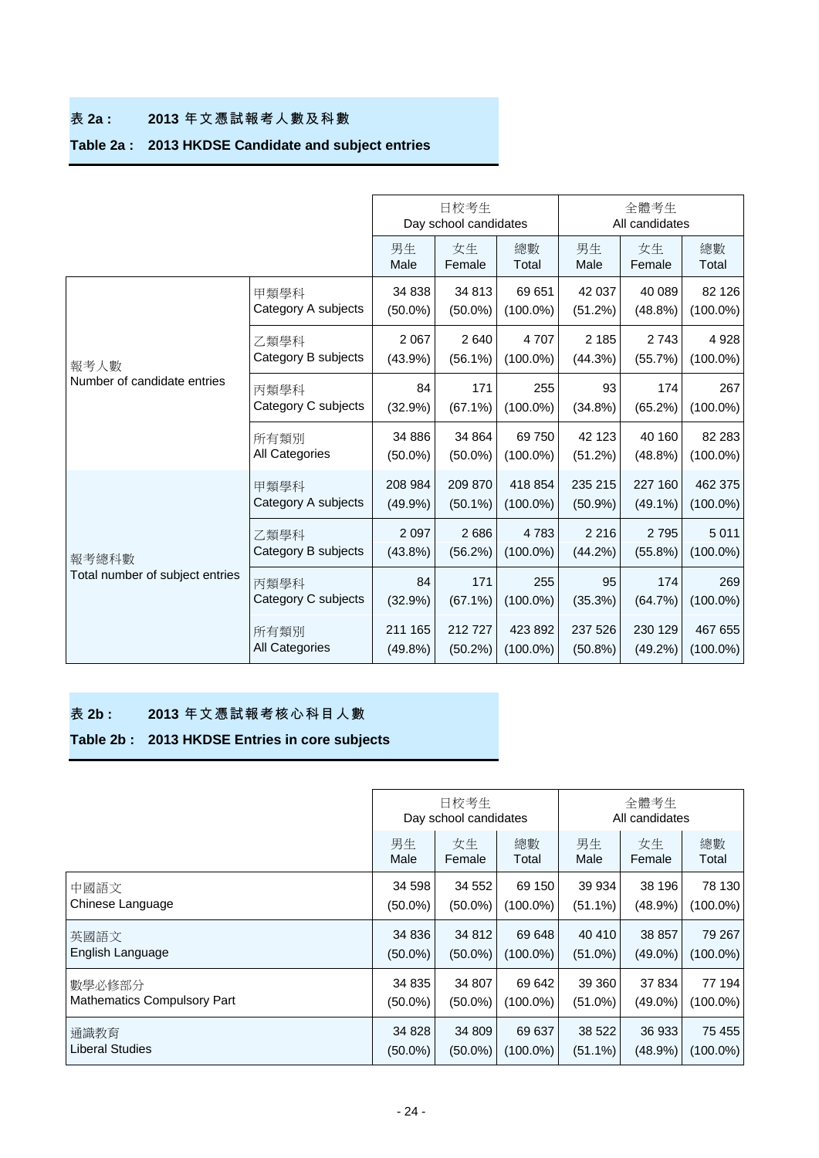### 表 **2a : 2013** 年文憑試報考人數及科數

# **Table 2a : 2013 HKDSE Candidate and subject entries**

|                                 |                             |                       | 日校考生<br>Day school candidates |                                                                      | 全體考生<br>All candidates                                                                                                                                                                                                                                      |                      |                        |  |
|---------------------------------|-----------------------------|-----------------------|-------------------------------|----------------------------------------------------------------------|-------------------------------------------------------------------------------------------------------------------------------------------------------------------------------------------------------------------------------------------------------------|----------------------|------------------------|--|
|                                 |                             | 男生<br>Male            | 女生<br>Female                  | 總數<br>Total                                                          | 男生<br>Male                                                                                                                                                                                                                                                  | 女生<br>Female         | 總數<br>Total            |  |
|                                 | 甲類學科<br>Category A subjects | 34 838<br>$(50.0\%)$  | 34 813<br>$(50.0\%)$          | 69 651<br>$(100.0\%)$                                                | 42 037<br>(51.2%)                                                                                                                                                                                                                                           | 40 089<br>$(48.8\%)$ | 82 126<br>$(100.0\%)$  |  |
| 報考人數                            | 乙類學科<br>Category B subjects | 2 0 6 7<br>$(43.9\%)$ | 2640<br>$(56.1\%)$            | 4707<br>$(100.0\%)$                                                  | 2 1 8 5<br>(44.3%)                                                                                                                                                                                                                                          | 2 7 4 3<br>(55.7%)   | 4928<br>$(100.0\%)$    |  |
| Number of candidate entries     | 丙類學科<br>Category C subjects | 84<br>(32.9%)         | 171<br>$(67.1\%)$             | 255<br>$(100.0\%)$                                                   | 93<br>174<br>$(34.8\%)$<br>(65.2%)<br>42 123<br>40 160<br>(51.2%)<br>(48.8%)<br>235 215<br>227 160<br>(50.9%<br>$(49.1\%)$<br>2 2 1 6<br>2795<br>(44.2%)<br>$(55.8\%)$<br>95<br>174<br>(35.3%)<br>(64.7%)<br>237 526<br>230 129<br>$(50.8\%)$<br>$(49.2\%)$ | 267<br>$(100.0\%)$   |                        |  |
|                                 | 所有類別<br>All Categories      | 34 886<br>$(50.0\%)$  | 34 864<br>$(50.0\%)$          | 69750<br>$(100.0\%)$                                                 |                                                                                                                                                                                                                                                             |                      | 82 283<br>$(100.0\%)$  |  |
|                                 | 甲類學科<br>Category A subjects | 208 984<br>(49.9%     | 209 870<br>$(50.1\%)$         | 418 854<br>$(100.0\%)$                                               |                                                                                                                                                                                                                                                             |                      | 462 375<br>$(100.0\%)$ |  |
| 報考總科數                           | 乙類學科<br>Category B subjects | 2 0 9 7<br>$(43.8\%)$ | 2686<br>(56.2%)               | 4783<br>$(100.0\%)$                                                  |                                                                                                                                                                                                                                                             |                      | 5 0 1 1<br>$(100.0\%)$ |  |
| Total number of subject entries | 丙類學科<br>Category C subjects | 84<br>(32.9%)         | 171<br>$(67.1\%)$             | 255<br>$(100.0\%)$<br>212727<br>423 892<br>$(50.2\%)$<br>$(100.0\%)$ | 269<br>$(100.0\%)$                                                                                                                                                                                                                                          |                      |                        |  |
|                                 | 所有類別<br>All Categories      | 211 165<br>$(49.8\%)$ |                               |                                                                      |                                                                                                                                                                                                                                                             |                      | 467 655<br>$(100.0\%)$ |  |

### 表 **2b : 2013** 年文憑試報考核心科目人數

# **Table 2b : 2013 HKDSE Entries in core subjects**

|                                    |            | 日校考生<br>Day school candidates |             | 全體考生<br>All candidates |            |             |  |
|------------------------------------|------------|-------------------------------|-------------|------------------------|------------|-------------|--|
|                                    | 男生         | 女生                            | 總數          | 男生                     | 女生         | 總數          |  |
|                                    | Male       | Female                        | Total       | Male                   | Female     | Total       |  |
| 中國語文                               | 34 598     | 34 552                        | 69 150      | 39 934                 | 38 196     | 78 130      |  |
| Chinese Language                   | $(50.0\%)$ | $(50.0\%)$                    | $(100.0\%)$ | $(51.1\%)$             | (48.9%)    | $(100.0\%)$ |  |
| 英國語文                               | 34 836     | 34 812                        | 69 648      | 40 410                 | 38 857     | 79 267      |  |
| English Language                   | $(50.0\%)$ | $(50.0\%)$                    | $(100.0\%)$ | $(51.0\%)$             | $(49.0\%)$ | $(100.0\%)$ |  |
| 數學必修部分                             | 34 835     | 34 807                        | 69 642      | 39 360                 | 37 834     | 77 194      |  |
| <b>Mathematics Compulsory Part</b> | $(50.0\%)$ | $(50.0\%)$                    | $(100.0\%)$ | $(51.0\%)$             | $(49.0\%)$ | $(100.0\%)$ |  |
| 通識教育                               | 34 828     | 34 809                        | 69 637      | 38 5 22                | 36 933     | 75 455      |  |
| <b>Liberal Studies</b>             | $(50.0\%)$ | $(50.0\%)$                    | $(100.0\%)$ | $(51.1\%)$             | $(48.9\%)$ | $(100.0\%)$ |  |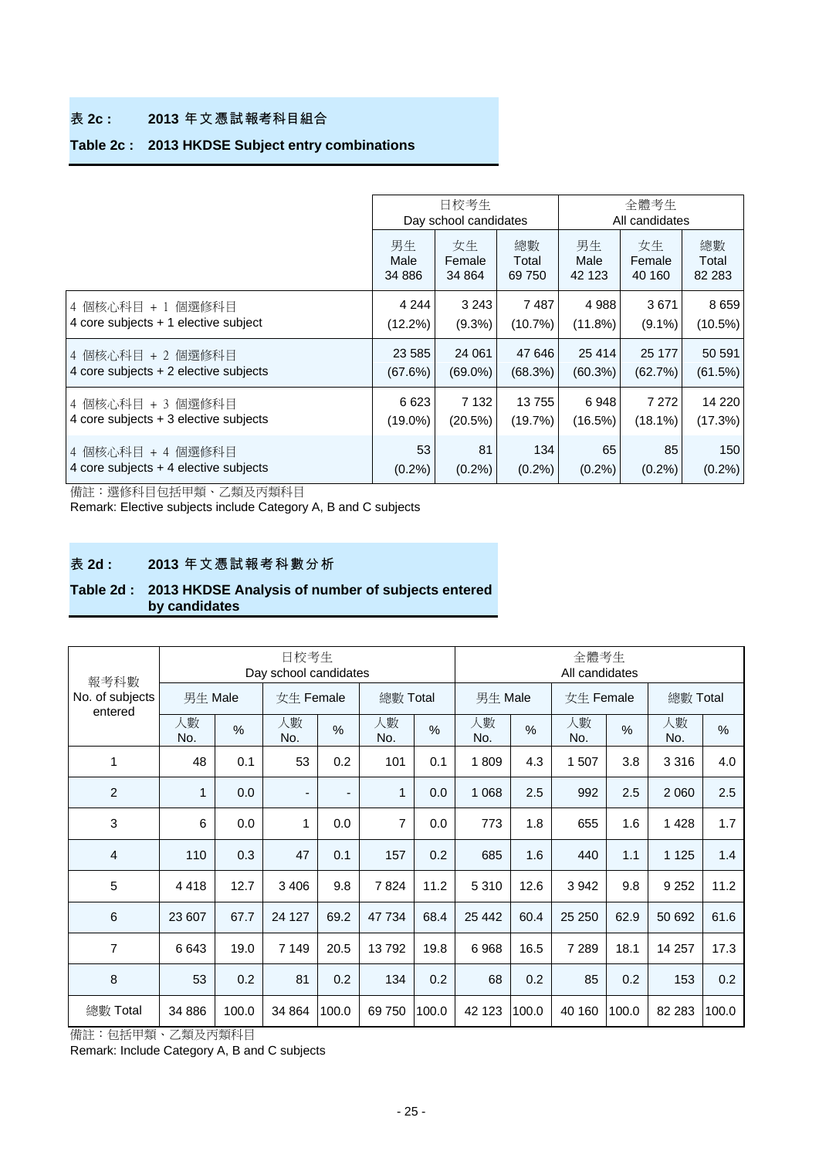#### 表 **2c : 2013** 年文憑試報考科目組合

## **Table 2c : 2013 HKDSE Subject entry combinations**

|                                         | 日校考生<br>全體考生<br>Day school candidates<br>All candidates |            |           |            |            |            |
|-----------------------------------------|---------------------------------------------------------|------------|-----------|------------|------------|------------|
|                                         | 男生                                                      | 女生         | 總數        | 男生         | 女生         | 總數         |
|                                         | Male                                                    | Female     | Total     | Male       | Female     | Total      |
|                                         | 34 886                                                  | 34 864     | 69 750    | 42 123     | 40 160     | 82 283     |
| 4 個核心科目 + 1 個選修科目                       | 4 2 4 4                                                 | 3 2 4 3    | 7487      | 4988       | 3671       | 8659       |
| 4 core subjects + 1 elective subject    | $(12.2\%)$                                              | $(9.3\%)$  | (10.7%)   | (11.8%)    | $(9.1\%)$  | $(10.5\%)$ |
| 4 個核心科目 + 2 個選修科目                       | 23 5 85                                                 | 24 061     | 47 646    | 25 4 14    | 25 177     | 50 591     |
| 4 core subjects $+2$ elective subjects  | (67.6%)                                                 | $(69.0\%)$ | (68.3%)   | $(60.3\%)$ | (62.7%)    | (61.5%)    |
| 4 個核心科目 + 3 個選修科目                       | 6623                                                    | 7 1 3 2    | 13755     | 6948       | 7 2 7 2    | 14 2 20    |
| 4 core subjects $+3$ elective subjects  | $(19.0\%)$                                              | (20.5%)    | (19.7%)   | (16.5%)    | $(18.1\%)$ | (17.3%)    |
| 4 個核心科目 + 4 個選修科目                       | 53                                                      | 81         | 134       | 65         | 85         | 150        |
| 4 core subjects $+$ 4 elective subjects | $(0.2\%)$                                               | $(0.2\%)$  | $(0.2\%)$ | $(0.2\%)$  | $(0.2\%)$  | $(0.2\%)$  |

備註:選修科目包括甲類、乙類及丙類科目

Remark: Elective subjects include Category A, B and C subjects

#### 表 **2d : 2013** 年文憑試報考科數分析

#### **Table 2d : 2013 HKDSE Analysis of number of subjects entered by candidates**

|                                    |              |       | 日校考生<br>Day school candidates |       |                |       | 全體考生<br>All candidates |       |           |       |           |       |
|------------------------------------|--------------|-------|-------------------------------|-------|----------------|-------|------------------------|-------|-----------|-------|-----------|-------|
| 報考科數<br>No. of subjects<br>entered | 男生 Male      |       | 女生 Female                     |       | 總數 Total       |       | 男生 Male                |       | 女生 Female |       | 總數 Total  |       |
|                                    | 人數<br>No.    | %     | 人數<br>No.                     | %     | 人數<br>No.      | %     | 人數<br>No.              | %     | 人數<br>No. | %     | 人數<br>No. | %     |
| 1                                  | 48           | 0.1   | 53                            | 0.2   | 101            | 0.1   | 1809                   | 4.3   | 507<br>1  | 3.8   | 3316      | 4.0   |
| $\overline{2}$                     | $\mathbf{1}$ | 0.0   | $\overline{\phantom{a}}$      | ٠     | 1              | 0.0   | 1 0 6 8                | 2.5   | 992       | 2.5   | 2 0 6 0   | 2.5   |
| 3                                  | 6            | 0.0   | 1                             | 0.0   | $\overline{7}$ | 0.0   | 773                    | 1.8   | 655       | 1.6   | 1428      | 1.7   |
| $\overline{4}$                     | 110          | 0.3   | 47                            | 0.1   | 157            | 0.2   | 685                    | 1.6   | 440       | 1.1   | 1 1 2 5   | 1.4   |
| 5                                  | 4418         | 12.7  | 3 4 0 6                       | 9.8   | 7824           | 11.2  | 5 3 1 0                | 12.6  | 3942      | 9.8   | 9 2 5 2   | 11.2  |
| 6                                  | 23 607       | 67.7  | 24 127                        | 69.2  | 47 734         | 68.4  | 25 4 42                | 60.4  | 25 250    | 62.9  | 50 692    | 61.6  |
| $\overline{7}$                     | 6643         | 19.0  | 7 1 4 9                       | 20.5  | 13792          | 19.8  | 6968                   | 16.5  | 7 2 8 9   | 18.1  | 14 257    | 17.3  |
| 8                                  | 53           | 0.2   | 81                            | 0.2   | 134            | 0.2   | 68                     | 0.2   | 85        | 0.2   | 153       | 0.2   |
| 總數 Total                           | 34 886       | 100.0 | 34 864                        | 100.0 | 69 750         | 100.0 | 42 123                 | 100.0 | 40 160    | 100.0 | 82 283    | 100.0 |

備註:包括甲類、乙類及丙類科目

Remark: Include Category A, B and C subjects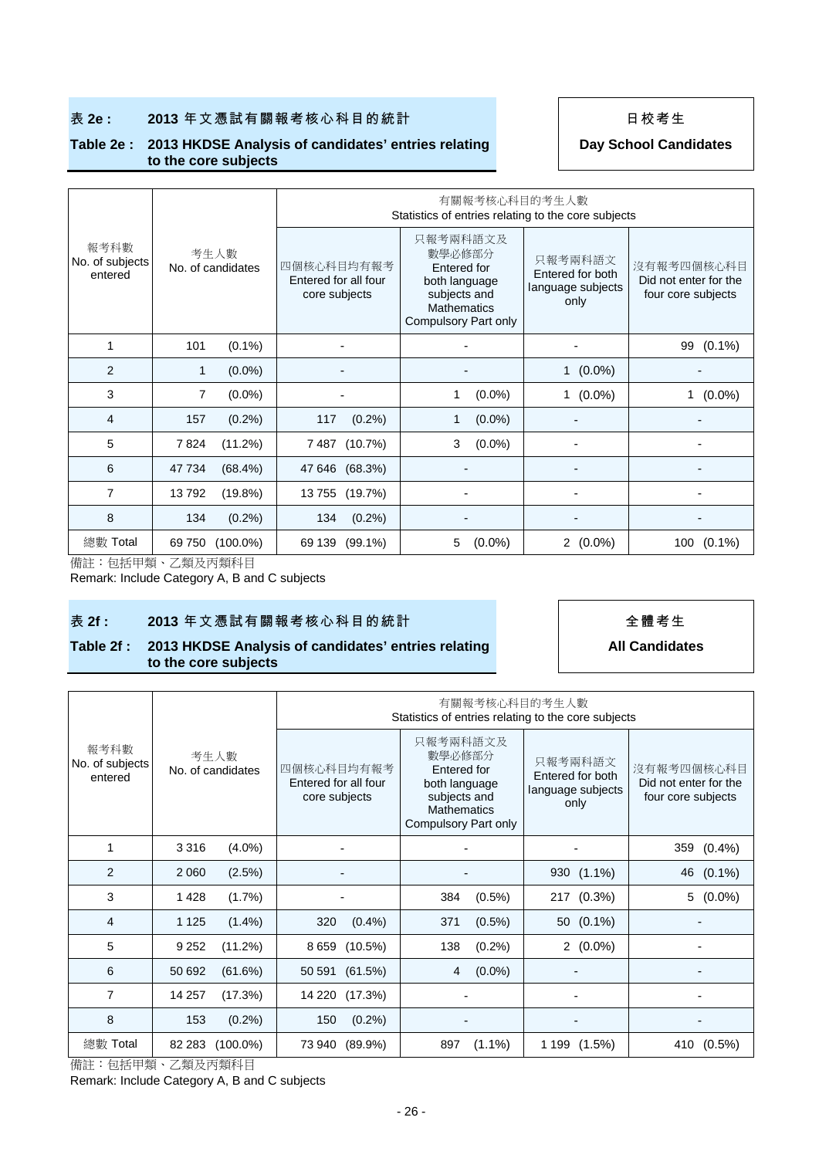### 表 **2e : 2013** 年文憑試有關報考核心科目的統計 日校考生

#### **Table 2e : 2013 HKDSE Analysis of candidates' entries relating to the core subjects**

**Day School Candidates**

|                                    |                           |                                                     | 有關報考核心科目的考生人數<br>Statistics of entries relating to the core subjects                                             |                                                          |                                                           |
|------------------------------------|---------------------------|-----------------------------------------------------|------------------------------------------------------------------------------------------------------------------|----------------------------------------------------------|-----------------------------------------------------------|
| 報考科數<br>No. of subjects<br>entered | 考生人數<br>No. of candidates | 四個核心科目均有報考<br>Entered for all four<br>core subjects | 只報考兩科語文及<br>數學必修部分<br>Entered for<br>both language<br>subjects and<br><b>Mathematics</b><br>Compulsory Part only | 只報考兩科語文<br>Entered for both<br>language subjects<br>only | 沒有報考四個核心科目<br>Did not enter for the<br>four core subjects |
| 1                                  | 101<br>$(0.1\%)$          |                                                     |                                                                                                                  |                                                          | $(0.1\%)$<br>99                                           |
| $\overline{2}$                     | $(0.0\%)$<br>1            |                                                     |                                                                                                                  | $1(0.0\%)$                                               |                                                           |
| 3                                  | 7<br>$(0.0\%)$            |                                                     | $(0.0\%)$<br>1                                                                                                   | $(0.0\%)$<br>1                                           | $(0.0\%)$                                                 |
| 4                                  | 157<br>$(0.2\%)$          | 117<br>$(0.2\%)$                                    | $(0.0\%)$<br>1                                                                                                   |                                                          |                                                           |
| 5                                  | (11.2%)<br>7824           | 7 487 (10.7%)                                       | 3<br>$(0.0\%)$                                                                                                   |                                                          |                                                           |
| 6                                  | 47 734<br>$(68.4\%)$      | 47 646 (68.3%)                                      |                                                                                                                  |                                                          |                                                           |
| 7                                  | 13792<br>$(19.8\%)$       | 13755<br>(19.7%)                                    |                                                                                                                  |                                                          |                                                           |
| 8                                  | 134<br>$(0.2\%)$          | 134<br>$(0.2\%)$                                    |                                                                                                                  |                                                          |                                                           |
| 總數 Total                           | 69 750<br>$(100.0\%)$     | 69 139<br>$(99.1\%)$                                | 5<br>$(0.0\%)$                                                                                                   | $2(0.0\%)$                                               | 100<br>$(0.1\%)$                                          |

備註:包括甲類、乙類及丙類科目

Remark: Include Category A, B and C subjects

#### 表 **2f : 2013** 年文憑試有關報考核心科目的統計 全體考生

#### **Table 2f : 2013 HKDSE Analysis of candidates' entries relating to the core subjects**

**All Candidates**

|                                    |                           |                                                     | 有關報考核心科目的考生人數<br>Statistics of entries relating to the core subjects                                             |                                                          |                                                           |  |  |  |  |  |  |  |  |
|------------------------------------|---------------------------|-----------------------------------------------------|------------------------------------------------------------------------------------------------------------------|----------------------------------------------------------|-----------------------------------------------------------|--|--|--|--|--|--|--|--|
| 報考科數<br>No. of subjects<br>entered | 考生人數<br>No. of candidates | 四個核心科目均有報考<br>Entered for all four<br>core subjects | 只報考兩科語文及<br>數學必修部分<br>Entered for<br>both language<br>subjects and<br><b>Mathematics</b><br>Compulsory Part only | 只報考兩科語文<br>Entered for both<br>language subjects<br>only | 沒有報考四個核心科目<br>Did not enter for the<br>four core subjects |  |  |  |  |  |  |  |  |
| 1                                  | 3316<br>$(4.0\%)$         |                                                     |                                                                                                                  |                                                          | 359 (0.4%)                                                |  |  |  |  |  |  |  |  |
| $\overline{2}$                     | 2 0 6 0<br>(2.5%)         |                                                     |                                                                                                                  | 930 (1.1%)                                               | 46 (0.1%)                                                 |  |  |  |  |  |  |  |  |
| 3                                  | (1.7%)<br>1428            |                                                     | 384<br>$(0.5\%)$                                                                                                 | 217 (0.3%)                                               | 5<br>$(0.0\%)$                                            |  |  |  |  |  |  |  |  |
| 4                                  | 1 1 2 5<br>$(1.4\%)$      | 320<br>$(0.4\%)$                                    | $(0.5\%)$<br>371                                                                                                 | 50 (0.1%)                                                |                                                           |  |  |  |  |  |  |  |  |
| 5                                  | 9 2 5 2<br>(11.2%)        | 8 659 (10.5%)                                       | $(0.2\%)$<br>138                                                                                                 | $2(0.0\%)$                                               |                                                           |  |  |  |  |  |  |  |  |
| 6                                  | 50 692<br>(61.6%)         | 50 591 (61.5%)                                      | $(0.0\%)$<br>4                                                                                                   |                                                          |                                                           |  |  |  |  |  |  |  |  |
| $\overline{7}$                     | 14 257<br>(17.3%)         | 14 220 (17.3%)                                      |                                                                                                                  |                                                          |                                                           |  |  |  |  |  |  |  |  |
| 8                                  | (0.2%)<br>153             | $(0.2\%)$<br>150                                    |                                                                                                                  |                                                          |                                                           |  |  |  |  |  |  |  |  |
| 總數 Total                           | 82 283<br>$(100.0\%)$     | 73 940 (89.9%)                                      | 897<br>$(1.1\%)$                                                                                                 | 1 199 (1.5%)                                             | 410 (0.5%)                                                |  |  |  |  |  |  |  |  |

備註:包括甲類、乙類及丙類科目 Remark: Include Category A, B and C subjects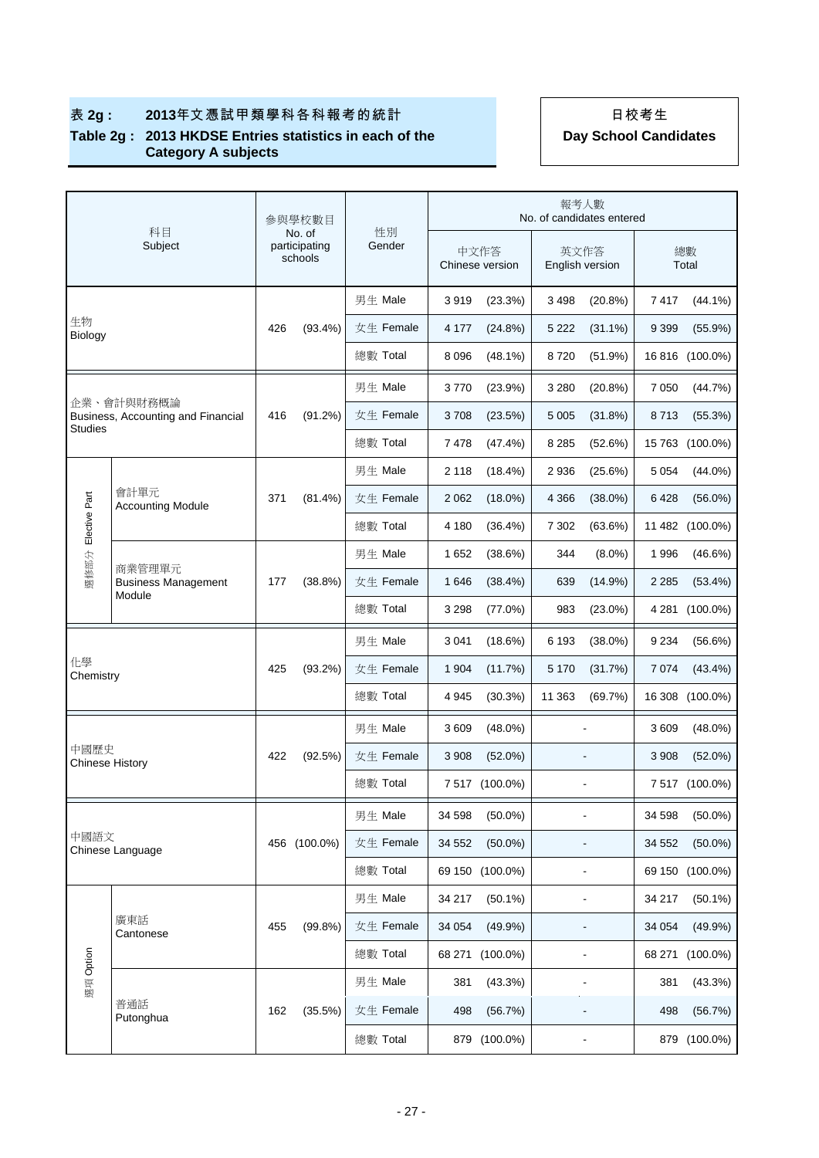# 表 2g : 2013年文憑試甲類學科各科報考的統計 | 日校考生

#### **Table 2g : 2013 HKDSE Entries statistics in each of the Category A subjects**

|                                | 科目                                                          |     | 參與學校數目                             | 性別        |                         |                 | 報考人數                    | No. of candidates entered    |         |                 |
|--------------------------------|-------------------------------------------------------------|-----|------------------------------------|-----------|-------------------------|-----------------|-------------------------|------------------------------|---------|-----------------|
|                                | Subject                                                     |     | No. of<br>participating<br>schools | Gender    | 中文作答<br>Chinese version |                 | 英文作答<br>English version |                              |         | 總數<br>Total     |
|                                |                                                             |     |                                    | 男生 Male   | 3919                    | (23.3%)         | 3 4 9 8                 | $(20.8\%)$                   | 7417    | $(44.1\%)$      |
| 生物<br>Biology                  |                                                             | 426 | $(93.4\%)$                         | 女生 Female | 4 177                   | (24.8%)         | 5 2 2 2                 | $(31.1\%)$                   | 9 3 9 9 | $(55.9\%)$      |
|                                |                                                             |     |                                    | 總數 Total  | 8 0 9 6                 | $(48.1\%)$      | 8720                    | (51.9%)                      |         | 16 816 (100.0%) |
|                                |                                                             |     |                                    | 男生 Male   | 3770                    | (23.9%)         | 3 2 8 0                 | $(20.8\%)$                   | 7 0 5 0 | (44.7%)         |
|                                | 企業、會計與財務概論<br>Business, Accounting and Financial<br>Studies |     | $(91.2\%)$                         | 女生 Female | 3708                    | (23.5%)         | 5 0 0 5                 | (31.8%)                      | 8713    | (55.3%)         |
|                                |                                                             |     |                                    | 總數 Total  | 7478                    | (47.4%)         | 8 2 8 5                 | (52.6%)                      |         | 15 763 (100.0%) |
|                                |                                                             |     |                                    | 男生 Male   | 2 1 1 8                 | $(18.4\%)$      | 2936                    | $(25.6\%)$                   | 5 0 5 4 | $(44.0\%)$      |
|                                | 會計單元<br><b>Accounting Module</b>                            | 371 | $(81.4\%)$                         | 女生 Female | 2 0 6 2                 | $(18.0\%)$      | 4 3 6 6                 | $(38.0\%)$                   | 6428    | $(56.0\%)$      |
| Elective Part                  |                                                             |     |                                    | 總數 Total  | 4 180                   | $(36.4\%)$      | 7 3 0 2                 | $(63.6\%)$                   |         | 11 482 (100.0%) |
|                                |                                                             |     |                                    | 男生 Male   | 1652                    | (38.6%)         | 344                     | $(8.0\%)$                    | 1996    | (46.6%)         |
| 選修部分                           | 商業管理單元<br><b>Business Management</b>                        | 177 | $(38.8\%)$                         | 女生 Female | 1646                    | (38.4%)         | 639                     | $(14.9\%)$                   | 2 2 8 5 | $(53.4\%)$      |
|                                | Module                                                      |     |                                    | 總數 Total  | 3 2 9 8                 | (77.0%)         | 983                     | $(23.0\%)$                   |         | 4 281 (100.0%)  |
|                                |                                                             |     |                                    | 男生 Male   | 3 0 4 1                 | (18.6%)         | 6 1 9 3                 | $(38.0\%)$                   | 9 2 3 4 | (56.6%)         |
| 化學<br>Chemistry                |                                                             | 425 | (93.2%)                            | 女生 Female | 1 904                   | (11.7%)         | 5 1 7 0                 | (31.7%)                      | 7074    | (43.4%)         |
|                                |                                                             |     |                                    | 總數 Total  | 4 9 4 5                 | $(30.3\%)$      | 11 363                  | (69.7%)                      |         | 16 308 (100.0%) |
|                                |                                                             |     |                                    | 男生 Male   | 3609                    | $(48.0\%)$      |                         |                              | 3609    | $(48.0\%)$      |
| 中國歷史<br><b>Chinese History</b> |                                                             | 422 | (92.5%)                            | 女生 Female | 3 9 0 8                 | $(52.0\%)$      |                         |                              | 3 9 0 8 | $(52.0\%)$      |
|                                |                                                             |     |                                    | 總數 Total  |                         | 7 517 (100.0%)  |                         |                              |         | 7 517 (100.0%)  |
|                                |                                                             |     |                                    | 男生 Male   | 34 598                  | $(50.0\%)$      |                         |                              | 34 598  | $(50.0\%)$      |
| 中國語文                           | Chinese Language                                            | 456 | $(100.0\%)$                        | 女生 Female | 34 552                  | $(50.0\%)$      |                         |                              | 34 552  | $(50.0\%)$      |
|                                |                                                             |     |                                    | 總數 Total  |                         | 69 150 (100.0%) |                         |                              | 69 150  | $(100.0\%)$     |
|                                |                                                             |     |                                    | 男生 Male   | 34 217                  | $(50.1\%)$      |                         |                              | 34 217  | $(50.1\%)$      |
|                                | 廣東話<br>Cantonese                                            | 455 | $(99.8\%)$                         | 女生 Female | 34 054                  | $(49.9\%)$      |                         | $\overline{a}$               | 34 054  | $(49.9\%)$      |
|                                |                                                             |     |                                    | 總數 Total  |                         | 68 271 (100.0%) |                         |                              | 68 271  | $(100.0\%)$     |
| 選項 Option                      |                                                             |     |                                    | 男生 Male   | 381                     | (43.3%)         |                         | $\blacksquare$               | 381     | (43.3%)         |
|                                | 普通話<br>Putonghua                                            | 162 | (35.5%)                            | 女生 Female | 498                     | (56.7%)         |                         |                              | 498     | (56.7%)         |
|                                |                                                             |     |                                    | 總數 Total  |                         | 879 (100.0%)    |                         | $\qquad \qquad \blacksquare$ |         | 879 (100.0%)    |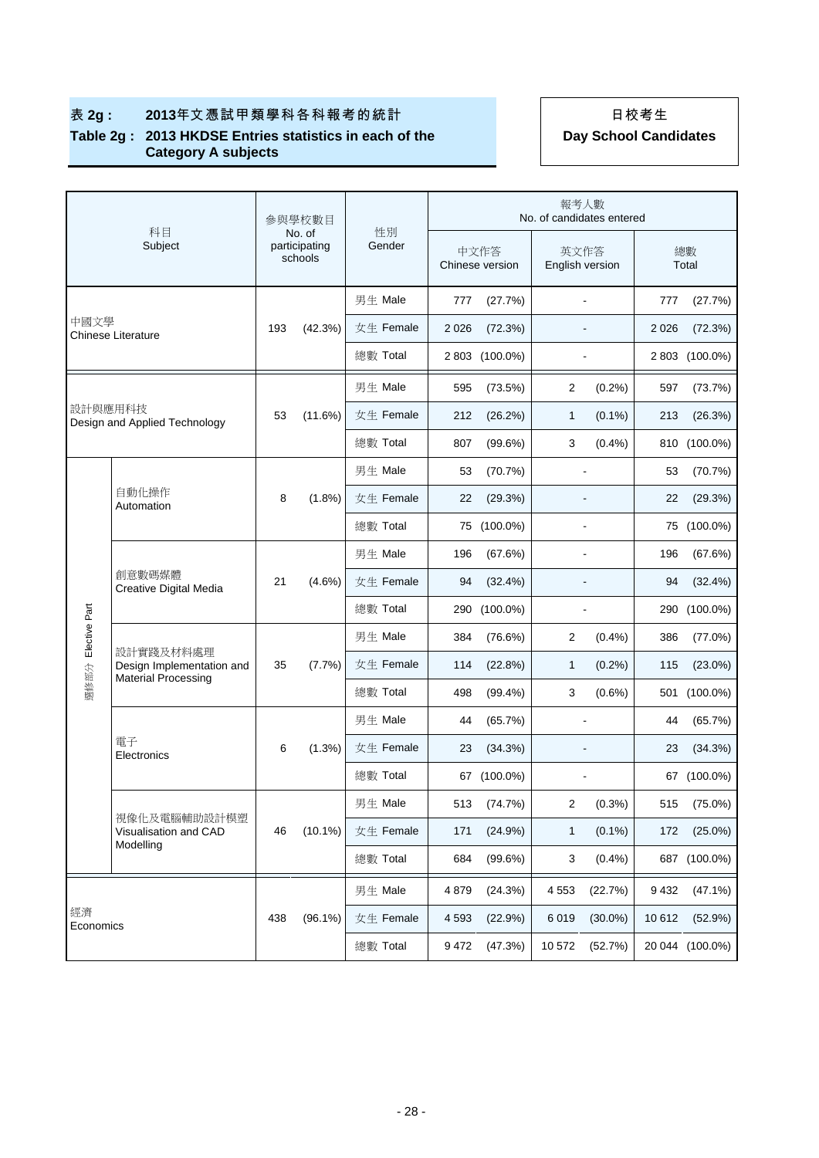# 表 2g : 2013年文憑試甲類學科各科報考的統計 | 日校考生

#### **Table 2g : 2013 HKDSE Entries statistics in each of the Category A subjects**

|               |                                        |     | 参與學校數目                             |              | 報考人數<br>No. of candidates entered |                         |                         |                |         |                 |
|---------------|----------------------------------------|-----|------------------------------------|--------------|-----------------------------------|-------------------------|-------------------------|----------------|---------|-----------------|
|               | 科目<br>Subject                          |     | No. of<br>participating<br>schools | 性別<br>Gender |                                   | 中文作答<br>Chinese version | 英文作答<br>English version |                |         | 總數<br>Total     |
|               |                                        |     |                                    | 男生 Male      | 777                               | (27.7%)                 |                         |                | 777     | (27.7%)         |
| 中國文學          | Chinese Literature                     | 193 | (42.3%)                            | 女生 Female    | 2 0 2 6                           | (72.3%)                 |                         |                | 2026    | (72.3%)         |
|               |                                        |     |                                    | 總數 Total     | 2 8 0 3                           | $(100.0\%)$             |                         |                | 2 8 0 3 | $(100.0\%)$     |
|               |                                        |     |                                    | 男生 Male      | 595                               | (73.5%)                 | 2                       | (0.2%)         | 597     | (73.7%)         |
| 設計與應用科技       | Design and Applied Technology          | 53  | (11.6%)                            | 女生 Female    | 212                               | (26.2%)                 | 1                       | $(0.1\%)$      | 213     | (26.3%)         |
|               |                                        |     |                                    | 總數 Total     | 807                               | (99.6%)                 | 3                       | (0.4%          |         | 810 (100.0%)    |
|               |                                        |     |                                    | 男生 Male      | 53                                | (70.7%)                 |                         | $\overline{a}$ | 53      | (70.7%)         |
|               | 自動化操作<br>Automation                    |     | $(1.8\%)$                          | 女生 Female    | 22                                | (29.3%)                 |                         |                | 22      | (29.3%)         |
|               |                                        |     |                                    | 總數 Total     |                                   | 75 (100.0%)             |                         |                |         | 75 (100.0%)     |
|               | 創意數碼媒體<br>Creative Digital Media       |     | $(4.6\%)$                          | 男生 Male      | 196                               | (67.6%)                 |                         | $\overline{a}$ | 196     | (67.6%)         |
|               |                                        | 21  |                                    | 女生 Female    | 94                                | (32.4%)                 |                         |                | 94      | (32.4%)         |
|               |                                        |     |                                    | 總數 Total     |                                   | 290 (100.0%)            |                         |                |         | 290 (100.0%)    |
| Elective Part |                                        |     |                                    | 男生 Male      | 384                               | (76.6%)                 | 2                       | (0.4%          | 386     | (77.0%)         |
|               | 設計實踐及材料處理<br>Design Implementation and | 35  | (7.7%)                             | 女生 Female    | 114                               | (22.8%)                 | 1                       | (0.2%)         | 115     | $(23.0\%)$      |
| 選修部分          | <b>Material Processing</b>             |     |                                    | 總數 Total     | 498                               | $(99.4\%)$              | 3                       | $(0.6\%)$      |         | 501 (100.0%)    |
|               |                                        |     |                                    | 男生 Male      | 44                                | (65.7%)                 |                         |                | 44      | (65.7%)         |
|               | 電子<br>Electronics                      | 6   | (1.3%)                             | 女生 Female    | 23                                | (34.3%)                 |                         |                | 23      | (34.3%)         |
|               |                                        |     |                                    | 總數 Total     |                                   | 67 (100.0%)             |                         |                |         | 67 (100.0%)     |
|               |                                        |     |                                    | 男生 Male      |                                   | 513 (74.7%)             | 2                       | (0.3%)         |         | 515 (75.0%)     |
|               | 視像化及電腦輔助設計模塑<br>Visualisation and CAD  | 46  | $(10.1\%)$                         | 女生 Female    | 171                               | (24.9%)                 | 1                       | $(0.1\%)$      | 172     | $(25.0\%)$      |
|               | Modelling                              |     |                                    | 總數 Total     | 684                               | $(99.6\%)$              | 3                       | $(0.4\%)$      |         | 687 (100.0%)    |
|               | 經濟<br>Economics                        |     |                                    | 男生 Male      | 4879                              | (24.3%)                 | 4553                    | (22.7%)        | 9 4 3 2 | $(47.1\%)$      |
|               |                                        | 438 | $(96.1\%)$                         | 女生 Female    | 4 5 9 3                           | (22.9%)                 | 6019                    | $(30.0\%)$     | 10 612  | (52.9%)         |
|               |                                        |     |                                    | 總數 Total     | 9472                              | (47.3%)                 | 10 572                  | (52.7%)        |         | 20 044 (100.0%) |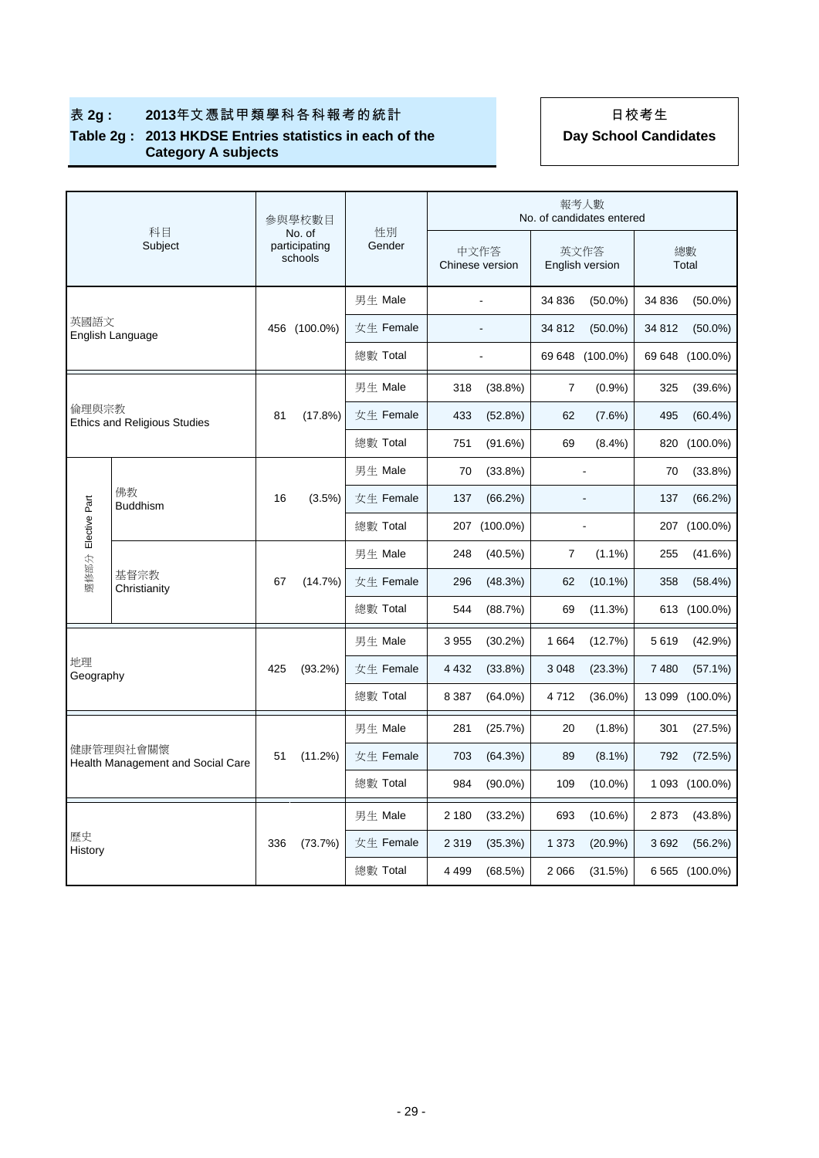# 表 2g : 2013年文憑試甲類學科各科報考的統計 | 日校考生

#### **Table 2g : 2013 HKDSE Entries statistics in each of the Category A subjects**

|                    |                                                |              | 參與學校數目                             |              |                         |                |                         | 報考人數<br>No. of candidates entered |             |                 |
|--------------------|------------------------------------------------|--------------|------------------------------------|--------------|-------------------------|----------------|-------------------------|-----------------------------------|-------------|-----------------|
|                    | 科目<br>Subject                                  |              | No. of<br>participating<br>schools | 性別<br>Gender | 中文作答<br>Chinese version |                | 英文作答<br>English version |                                   | 總數<br>Total |                 |
|                    |                                                |              |                                    | 男生 Male      |                         | $\blacksquare$ | 34 836                  | $(50.0\%)$                        | 34 836      | $(50.0\%)$      |
| 英國語文               | English Language                               | 456 (100.0%) |                                    | 女生 Female    |                         |                | 34 812                  | $(50.0\%)$                        | 34 812      | $(50.0\%)$      |
|                    |                                                |              |                                    | 總數 Total     |                         | $\blacksquare$ |                         | 69 648 (100.0%)                   |             | 69 648 (100.0%) |
|                    |                                                |              |                                    | 男生 Male      | 318                     | $(38.8\%)$     | 7                       | (0.9%                             | 325         | (39.6%)         |
|                    | 倫理與宗教<br><b>Ethics and Religious Studies</b>   |              | (17.8%)                            | 女生 Female    | 433                     | (52.8%)        | 62                      | (7.6%)                            | 495         | $(60.4\%)$      |
|                    |                                                |              |                                    | 總數 Total     | 751                     | (91.6%)        | 69                      | $(8.4\%)$                         | 820         | $(100.0\%)$     |
|                    |                                                |              |                                    | 男生 Male      | 70                      | (33.8%)        |                         | ÷,                                | 70          | (33.8%)         |
| 選修部分 Elective Part | 佛教<br><b>Buddhism</b>                          | 16           | $(3.5\%)$                          | 女生 Female    | 137                     | (66.2%)        |                         |                                   | 137         | (66.2%)         |
|                    |                                                |              |                                    | 總數 Total     | 207                     | $(100.0\%)$    |                         | ÷,                                | 207         | $(100.0\%)$     |
|                    |                                                | 67           | (14.7%)                            | 男生 Male      | 248                     | $(40.5\%)$     | 7                       | $(1.1\%)$                         | 255         | (41.6%)         |
|                    | 基督宗教<br>Christianity                           |              |                                    | 女生 Female    | 296                     | (48.3%)        | 62                      | $(10.1\%)$                        | 358         | (58.4%)         |
|                    |                                                |              |                                    | 總數 Total     | 544                     | (88.7%)        | 69                      | (11.3%)                           |             | 613 (100.0%)    |
|                    |                                                |              |                                    | 男生 Male      | 3955                    | $(30.2\%)$     | 1664                    | (12.7%)                           | 5619        | (42.9%)         |
| 地理<br>Geography    |                                                | 425          | (93.2%)                            | 女生 Female    | 4 4 3 2                 | $(33.8\%)$     | 3 0 4 8                 | (23.3%)                           | 7480        | $(57.1\%)$      |
|                    |                                                |              |                                    | 總數 Total     | 8 3 8 7                 | $(64.0\%)$     | 4712                    | $(36.0\%)$                        |             | 13 099 (100.0%) |
|                    |                                                |              |                                    | 男生 Male      | 281                     | (25.7%)        | 20                      | $(1.8\%)$                         | 301         | (27.5%)         |
|                    | 健康管理與社會關懷<br>Health Management and Social Care | 51           | (11.2%)                            | 女生 Female    | 703                     | (64.3%)        | 89                      | $(8.1\%)$                         | 792         | (72.5%)         |
|                    |                                                |              |                                    | 總數 Total     | 984                     | $(90.0\%)$     | 109                     | $(10.0\%)$                        |             | 1 093 (100.0%)  |
|                    |                                                |              |                                    | 男生 Male      | 2 1 8 0                 | (33.2%)        | 693                     | $(10.6\%)$                        | 2873        | $(43.8\%)$      |
| 歷史<br>History      |                                                | 336          | (73.7%)                            | 女生 Female    | 2 3 1 9                 | (35.3%)        | 1 3 7 3                 | (20.9%                            | 3692        | (56.2%)         |
|                    |                                                |              |                                    | 總數 Total     | 4 4 9 9                 | (68.5%)        | 2 0 6 6                 | (31.5%)                           |             | 6 565 (100.0%)  |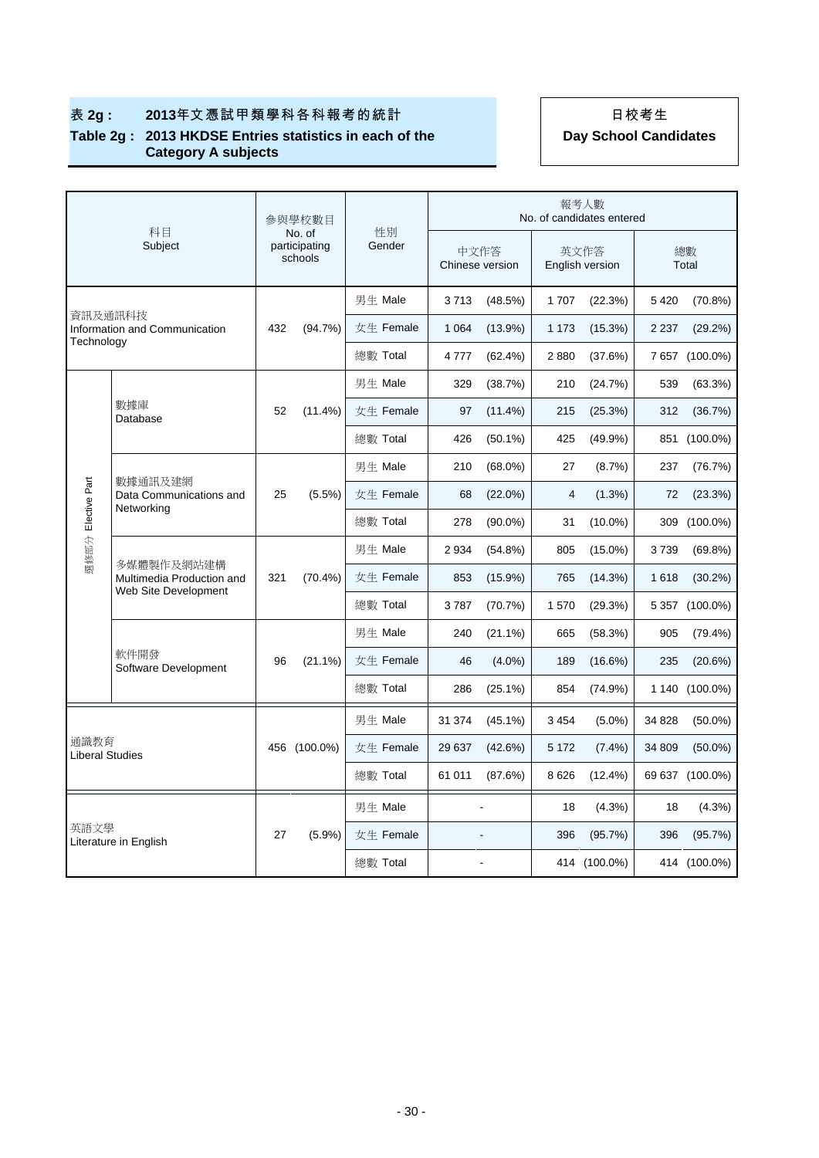|                               |                                                                 |     | 參與學校數目                             |              |         |                         |                         | 報考人數<br>No. of candidates entered |             |                 |
|-------------------------------|-----------------------------------------------------------------|-----|------------------------------------|--------------|---------|-------------------------|-------------------------|-----------------------------------|-------------|-----------------|
|                               | 科目<br>Subject                                                   |     | No. of<br>participating<br>schools | 性別<br>Gender |         | 中文作答<br>Chinese version | 英文作答<br>English version |                                   | 總數<br>Total |                 |
|                               |                                                                 |     |                                    | 男生 Male      | 3713    | (48.5%)                 | 1707                    | (22.3%)                           | 5 4 20      | $(70.8\%)$      |
| 資訊及通訊科技<br>Technology         | Information and Communication                                   | 432 | (94.7%)                            | 女生 Female    | 1 0 6 4 | $(13.9\%)$              | 1 1 7 3                 | $(15.3\%)$                        | 2 2 3 7     | (29.2%)         |
|                               |                                                                 |     |                                    | 總數 Total     | 4777    | (62.4%)                 | 2880                    | (37.6%)                           |             | 7 657 (100.0%)  |
|                               |                                                                 |     |                                    | 男生 Male      | 329     | (38.7%)                 | 210                     | (24.7%)                           | 539         | (63.3%)         |
|                               | 數據庫<br>Database                                                 | 52  | $(11.4\%)$                         | 女生 Female    | 97      | $(11.4\%)$              | 215                     | (25.3%)                           | 312         | (36.7%)         |
|                               |                                                                 |     |                                    | 總數 Total     | 426     | $(50.1\%)$              | 425                     | $(49.9\%)$                        | 851         | $(100.0\%)$     |
|                               | 數據通訊及建網                                                         |     |                                    | 男生 Male      | 210     | $(68.0\%)$              | 27                      | (8.7%)                            | 237         | (76.7%)         |
| Elective Part                 | Data Communications and<br>Networking                           | 25  | $(5.5\%)$                          | 女生 Female    | 68      | $(22.0\%)$              | 4                       | $(1.3\%)$                         | 72          | (23.3%)         |
|                               |                                                                 |     |                                    | 總數 Total     | 278     | $(90.0\%)$              | 31                      | $(10.0\%)$                        | 309         | $(100.0\%)$     |
| 選修部分                          |                                                                 | 321 | $(70.4\%)$                         | 男生 Male      | 2934    | (54.8%)                 | 805                     | $(15.0\%)$                        | 3739        | (69.8%)         |
|                               | 多媒體製作及網站建構<br>Multimedia Production and<br>Web Site Development |     |                                    | 女生 Female    | 853     | $(15.9\%)$              | 765                     | (14.3%)                           | 1618        | $(30.2\%)$      |
|                               |                                                                 |     |                                    | 總數 Total     | 3787    | (70.7%)                 | 1570                    | (29.3%)                           |             | 5 357 (100.0%)  |
|                               |                                                                 |     |                                    | 男生 Male      | 240     | $(21.1\%)$              | 665                     | (58.3%)                           | 905         | $(79.4\%)$      |
|                               | 軟件開發<br>Software Development                                    | 96  | $(21.1\%)$                         | 女生 Female    | 46      | $(4.0\%)$               | 189                     | $(16.6\%)$                        | 235         | (20.6%)         |
|                               |                                                                 |     |                                    | 總數 Total     | 286     | $(25.1\%)$              | 854                     | (74.9%)                           |             | 1 140 (100.0%)  |
|                               |                                                                 |     |                                    | 男生 Male      | 31 374  | $(45.1\%)$              | 3 4 5 4                 | $(5.0\%)$                         | 34 828      | $(50.0\%)$      |
| 通識教育<br>Liberal Studies       |                                                                 |     | 456 (100.0%)                       | 女生 Female    | 29 637  | (42.6%)                 | 5 1 7 2                 | $(7.4\%)$                         | 34 809      | $(50.0\%)$      |
|                               |                                                                 |     |                                    | 總數 Total     | 61 011  | (87.6%)                 | 8626                    | $(12.4\%)$                        |             | 69 637 (100.0%) |
| 英語文學<br>Literature in English |                                                                 |     |                                    | 男生 Male      |         |                         | 18                      | $(4.3\%)$                         | 18          | $(4.3\%)$       |
|                               |                                                                 | 27  | $(5.9\%)$                          | 女生 Female    |         |                         | 396                     | (95.7%)                           | 396         | (95.7%)         |
|                               |                                                                 |     |                                    | 總數 Total     |         |                         |                         | 414 (100.0%)                      |             | 414 (100.0%)    |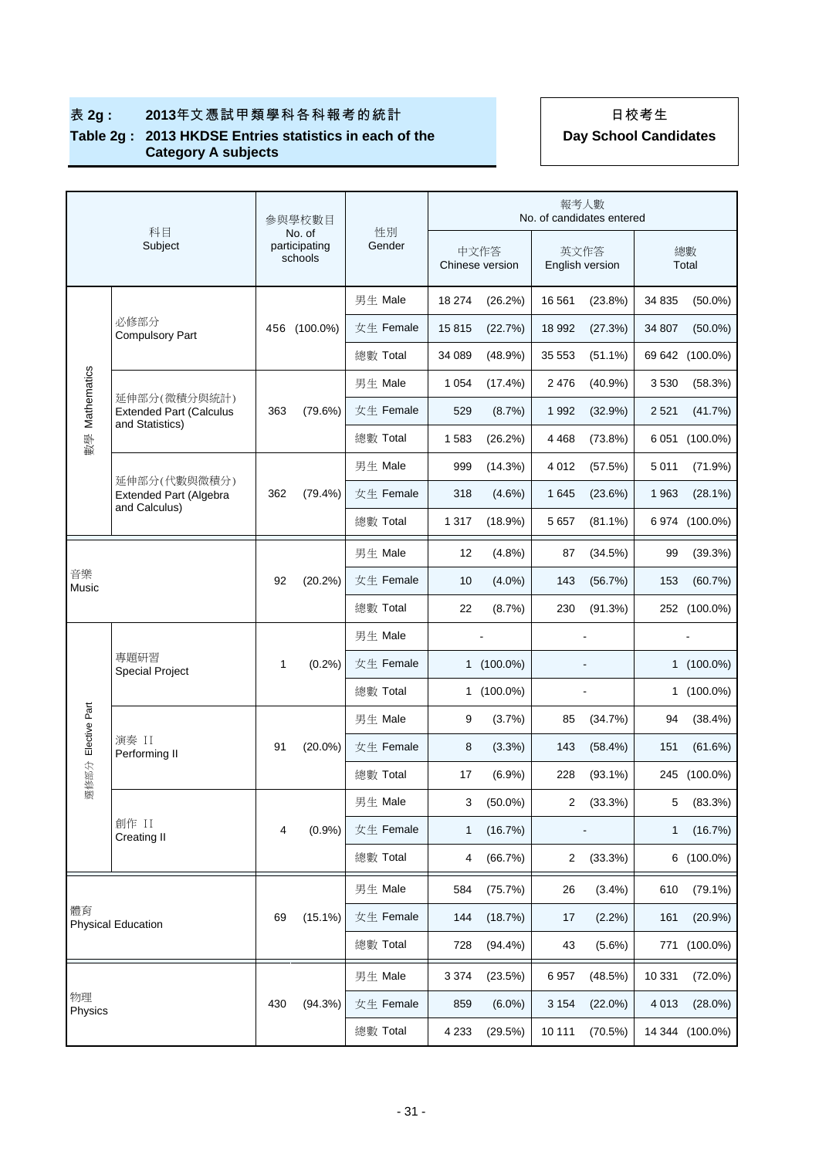|                    |                                                   |              | 參與學校數目                             |              |         |                          | 報考人數    | No. of candidates entered |             |                 |
|--------------------|---------------------------------------------------|--------------|------------------------------------|--------------|---------|--------------------------|---------|---------------------------|-------------|-----------------|
|                    | 科目<br>Subject                                     |              | No. of<br>participating<br>schools | 性別<br>Gender |         | 中文作答<br>Chinese version  |         | 英文作答<br>English version   | 總數<br>Total |                 |
|                    |                                                   |              |                                    | 男生 Male      | 18 274  | (26.2%)                  | 16 561  | $(23.8\%)$                | 34 835      | $(50.0\%)$      |
|                    | 必修部分<br><b>Compulsory Part</b>                    | 456          | $(100.0\%)$                        | 女生 Female    | 15815   | (22.7%)                  | 18 992  | (27.3%)                   | 34 807      | $(50.0\%)$      |
|                    |                                                   |              |                                    | 總數 Total     | 34 089  | (48.9%)                  | 35 553  | $(51.1\%)$                |             | 69 642 (100.0%) |
|                    | 延伸部分(微積分與統計)                                      |              |                                    | 男生 Male      | 1 0 5 4 | $(17.4\%)$               | 2 4 7 6 | (40.9%                    | 3530        | (58.3%)         |
| 數學 Mathematics     | <b>Extended Part (Calculus</b><br>and Statistics) | 363          | (79.6%)                            | 女生 Female    | 529     | (8.7%)                   | 1992    | (32.9%)                   | 2 5 2 1     | (41.7%)         |
|                    |                                                   |              |                                    | 總數 Total     | 1583    | (26.2%)                  | 4 4 6 8 | (73.8%)                   | 6051        | $(100.0\%)$     |
|                    | 延伸部分(代數與微積分)                                      |              |                                    | 男生 Male      | 999     | (14.3%)                  | 4 0 1 2 | (57.5%)                   | 5011        | (71.9%)         |
|                    | <b>Extended Part (Algebra</b><br>and Calculus)    | 362          | $(79.4\%)$                         | 女生 Female    | 318     | $(4.6\%)$                | 1 6 4 5 | (23.6%)                   | 1963        | $(28.1\%)$      |
|                    |                                                   |              |                                    | 總數 Total     | 1 3 1 7 | (18.9%)                  | 5 6 5 7 | $(81.1\%)$                |             | 6 974 (100.0%)  |
|                    |                                                   |              |                                    | 男生 Male      | 12      | (4.8%)                   | 87      | (34.5%)                   | 99          | (39.3%)         |
| 音樂<br>Music        |                                                   | 92           | $(20.2\%)$                         | 女生 Female    | 10      | $(4.0\%)$                | 143     | (56.7%)                   | 153         | (60.7%)         |
|                    |                                                   |              |                                    | 總數 Total     | 22      | (8.7%)                   | 230     | (91.3%)                   |             | 252 (100.0%)    |
|                    | 專題研習<br><b>Special Project</b>                    | $\mathbf{1}$ | (0.2%)                             | 男生 Male      |         | $\overline{\phantom{a}}$ |         |                           |             |                 |
|                    |                                                   |              |                                    | 女生 Female    |         | 1 (100.0%)               |         |                           |             | $1(100.0\%)$    |
|                    |                                                   |              |                                    | 總數 Total     |         | 1 (100.0%)               |         |                           |             | $1(100.0\%)$    |
| 選修部分 Elective Part |                                                   |              |                                    | 男生 Male      | 9       | (3.7%)                   | 85      | (34.7%)                   | 94          | (38.4%)         |
|                    | 演奏 II<br>Performing II                            | 91           | $(20.0\%)$                         | 女生 Female    | 8       | $(3.3\%)$                | 143     | (58.4%)                   | 151         | (61.6%)         |
|                    |                                                   |              |                                    | 總數 Total     | 17      | (6.9%)                   | 228     | $(93.1\%)$                |             | 245 (100.0%)    |
|                    |                                                   |              |                                    | 男生 Male      | 3       | $(50.0\%)$               | 2       | (33.3%)                   | 5           | (83.3%)         |
|                    | 創作 II<br>Creating II                              | 4            | (0.9%                              | 女生 Female    | 1       | (16.7%)                  |         |                           | 1           | (16.7%)         |
|                    |                                                   |              |                                    | 總數 Total     | 4       | (66.7%)                  | 2       | (33.3%)                   | 6           | $(100.0\%)$     |
|                    |                                                   |              |                                    | 男生 Male      | 584     | (75.7%)                  | 26      | (3.4%)                    | 610         | $(79.1\%)$      |
| 體育                 | <b>Physical Education</b>                         | 69           | $(15.1\%)$                         | 女生 Female    | 144     | (18.7%)                  | 17      | (2.2%)                    | 161         | $(20.9\%)$      |
|                    |                                                   |              |                                    | 總數 Total     | 728     | $(94.4\%)$               | 43      | $(5.6\%)$                 | 771         | $(100.0\%)$     |
|                    |                                                   |              |                                    | 男生 Male      | 3 3 7 4 | (23.5%)                  | 6957    | (48.5%)                   | 10 331      | $(72.0\%)$      |
| 物理<br>Physics      |                                                   | 430          | (94.3%)                            | 女生 Female    | 859     | $(6.0\%)$                | 3 1 5 4 | (22.0%)                   | 4 0 1 3     | $(28.0\%)$      |
|                    |                                                   |              |                                    | 總數 Total     | 4 2 3 3 | (29.5%)                  | 10 111  | (70.5%)                   |             | 14 344 (100.0%) |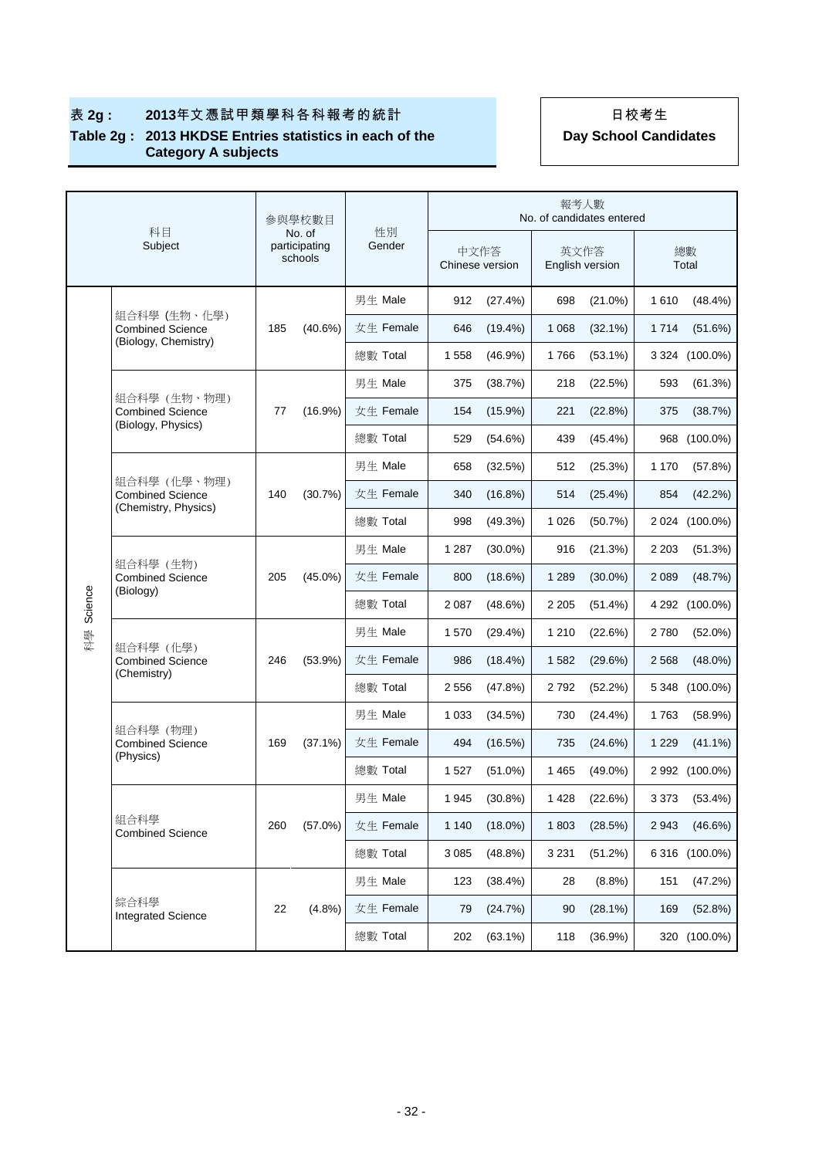|         |                                                                 | 參與學校數目 |                                    |              |         |                 | 報考人數                    | No. of candidates entered |             |                |
|---------|-----------------------------------------------------------------|--------|------------------------------------|--------------|---------|-----------------|-------------------------|---------------------------|-------------|----------------|
|         | 科目<br>Subject                                                   |        | No. of<br>participating<br>schools | 性別<br>Gender | 中文作答    | Chinese version | 英文作答<br>English version |                           | 總數<br>Total |                |
|         |                                                                 |        |                                    | 男生 Male      | 912     | (27.4%)         | 698                     | $(21.0\%)$                | 1610        | $(48.4\%)$     |
|         | 組合科學 (生物、化學)<br><b>Combined Science</b><br>(Biology, Chemistry) | 185    | $(40.6\%)$                         | 女生 Female    | 646     | $(19.4\%)$      | 1 0 6 8                 | $(32.1\%)$                | 1714        | (51.6%)        |
|         |                                                                 |        |                                    | 總數 Total     | 1558    | (46.9%)         | 1766                    | $(53.1\%)$                |             | 3 324 (100.0%) |
|         |                                                                 |        |                                    | 男生 Male      | 375     | (38.7%)         | 218                     | (22.5%)                   | 593         | (61.3%)        |
|         | 組合科學 (生物、物理)<br><b>Combined Science</b><br>(Biology, Physics)   | 77     | $(16.9\%)$                         | 女生 Female    | 154     | (15.9%)         | 221                     | (22.8%)                   | 375         | (38.7%)        |
|         |                                                                 |        |                                    | 總數 Total     | 529     | (54.6%)         | 439                     | $(45.4\%)$                | 968         | $(100.0\%)$    |
|         |                                                                 |        | (30.7%)                            | 男生 Male      | 658     | (32.5%)         | 512                     | (25.3%)                   | 1 1 7 0     | (57.8%)        |
|         | 組合科學 (化學、物理)<br><b>Combined Science</b><br>(Chemistry, Physics) | 140    |                                    | 女生 Female    | 340     | (16.8%)         | 514                     | $(25.4\%)$                | 854         | (42.2%)        |
|         |                                                                 |        |                                    | 總數 Total     | 998     | (49.3%)         | 1 0 2 6                 | (50.7%)                   |             | 2 024 (100.0%) |
|         | 組合科學 (生物)<br><b>Combined Science</b><br>(Biology)               | 205    | $(45.0\%)$                         | 男生 Male      | 1 2 8 7 | $(30.0\%)$      | 916                     | (21.3%)                   | 2 2 0 3     | (51.3%)        |
|         |                                                                 |        |                                    | 女生 Female    | 800     | (18.6%)         | 1 2 8 9                 | $(30.0\%)$                | 2 0 8 9     | (48.7%)        |
| Science |                                                                 |        |                                    | 總數 Total     | 2 0 8 7 | (48.6%)         | 2 2 0 5                 | $(51.4\%)$                |             | 4 292 (100.0%) |
| 科學      |                                                                 |        | $(53.9\%)$                         | 男生 Male      | 1570    | $(29.4\%)$      | 1 2 1 0                 | (22.6%)                   | 2780        | $(52.0\%)$     |
|         | 組合科學 (化學)<br><b>Combined Science</b>                            | 246    |                                    | 女生 Female    | 986     | (18.4%)         | 1582                    | (29.6%)                   | 2 5 6 8     | $(48.0\%)$     |
|         | (Chemistry)                                                     |        |                                    | 總數 Total     | 2 5 5 6 | (47.8%)         | 2792                    | (52.2%)                   | 5 3 4 8     | $(100.0\%)$    |
|         |                                                                 |        |                                    | 男生 Male      | 1 0 3 3 | (34.5%)         | 730                     | $(24.4\%)$                | 1763        | (58.9%)        |
|         | 組合科學 (物理)<br><b>Combined Science</b>                            | 169    | $(37.1\%)$                         | 女生 Female    | 494     | (16.5%)         | 735                     | (24.6%)                   | 1 2 2 9     | $(41.1\%)$     |
|         | (Physics)                                                       |        |                                    | 總數 Total     | 1 5 2 7 | $(51.0\%)$      | 1465                    | $(49.0\%)$                |             | 2 992 (100.0%) |
|         |                                                                 |        |                                    | 男生 Male      | 1945    | (30.8%)         | 1 4 2 8                 | (22.6%)                   | 3 3 7 3     | (53.4%)        |
|         | 組合科學<br><b>Combined Science</b>                                 | 260    | (57.0%)                            | 女生 Female    | 1 1 4 0 | $(18.0\%)$      | 1803                    | (28.5%)                   | 2943        | (46.6%)        |
|         |                                                                 |        |                                    | 總數 Total     | 3 0 8 5 | (48.8%)         | 3 2 3 1                 | (51.2%)                   |             | 6 316 (100.0%) |
|         | 綜合科學<br><b>Integrated Science</b>                               |        |                                    | 男生 Male      | 123     | (38.4%)         | 28                      | $(8.8\%)$                 | 151         | (47.2%)        |
|         |                                                                 | 22     | (4.8%)                             | 女生 Female    | 79      | (24.7%)         | 90                      | (28.1%)                   | 169         | (52.8%)        |
|         |                                                                 |        |                                    | 總數 Total     | 202     | $(63.1\%)$      | 118                     | (36.9%)                   |             | 320 (100.0%)   |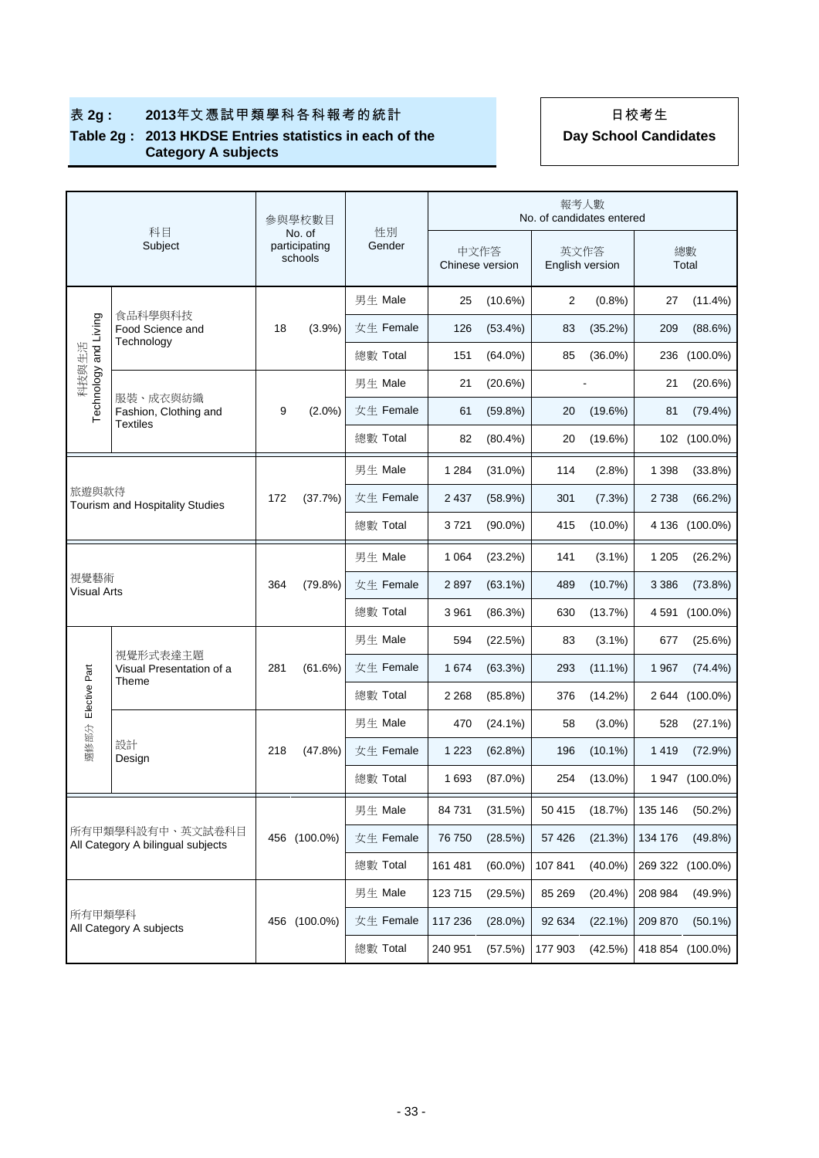|                                                       | 科目                                                   | 参與學校數目<br>No. of |                          |              | 報考人數<br>No. of candidates entered |                         |         |                         |             |                  |  |  |
|-------------------------------------------------------|------------------------------------------------------|------------------|--------------------------|--------------|-----------------------------------|-------------------------|---------|-------------------------|-------------|------------------|--|--|
|                                                       | Subject                                              |                  | participating<br>schools | 性別<br>Gender |                                   | 中文作答<br>Chinese version |         | 英文作答<br>English version | 總數<br>Total |                  |  |  |
|                                                       |                                                      |                  |                          | 男生 Male      | 25                                | $(10.6\%)$              | 2       | $(0.8\%)$               | 27          | $(11.4\%)$       |  |  |
|                                                       | 食品科學與科技<br>Food Science and                          | 18               | $(3.9\%)$                | 女生 Female    | 126                               | $(53.4\%)$              | 83      | (35.2%)                 | 209         | (88.6%)          |  |  |
| Technology and Living<br>科技與生活                        | Technology                                           |                  |                          | 總數 Total     | 151                               | $(64.0\%)$              | 85      | $(36.0\%)$              | 236         | $(100.0\%)$      |  |  |
|                                                       |                                                      |                  |                          | 男生 Male      | 21                                | (20.6%)                 |         |                         | 21          | (20.6%)          |  |  |
|                                                       | 服裝、成衣與紡織<br>Fashion, Clothing and<br><b>Textiles</b> | 9                | $(2.0\%)$                | 女生 Female    | 61                                | (59.8%)                 | 20      | $(19.6\%)$              | 81          | (79.4%)          |  |  |
|                                                       |                                                      |                  |                          | 總數 Total     | 82                                | $(80.4\%)$              | 20      | (19.6%)                 |             | 102 (100.0%)     |  |  |
|                                                       |                                                      |                  |                          | 男生 Male      | 1 2 8 4                           | $(31.0\%)$              | 114     | (2.8%)                  | 1 3 9 8     | $(33.8\%)$       |  |  |
|                                                       | 旅遊與款待<br>Tourism and Hospitality Studies             |                  | (37.7%)                  | 女生 Female    | 2437                              | (58.9%)                 | 301     | (7.3%)                  | 2738        | (66.2%)          |  |  |
|                                                       |                                                      |                  |                          | 總數 Total     | 3721                              | $(90.0\%)$              | 415     | $(10.0\%)$              |             | 4 136 (100.0%)   |  |  |
|                                                       |                                                      |                  |                          | 男生 Male      | 1 0 6 4                           | (23.2%)                 | 141     | $(3.1\%)$               | 1 2 0 5     | (26.2%)          |  |  |
| 視覺藝術<br><b>Visual Arts</b>                            |                                                      | 364              | (79.8%)                  | 女生 Female    | 2897                              | $(63.1\%)$              | 489     | (10.7%)                 | 3 3 8 6     | (73.8%)          |  |  |
|                                                       |                                                      |                  |                          | 總數 Total     | 3 9 6 1                           | (86.3%)                 | 630     | (13.7%)                 | 4 5 9 1     | $(100.0\%)$      |  |  |
|                                                       |                                                      |                  |                          | 男生 Male      | 594                               | (22.5%)                 | 83      | $(3.1\%)$               | 677         | (25.6%)          |  |  |
|                                                       | 視覺形式表達主題<br>Visual Presentation of a                 | 281              | (61.6%)                  | 女生 Female    | 1 674                             | (63.3%)                 | 293     | $(11.1\%)$              | 1967        | $(74.4\%)$       |  |  |
| Elective Part                                         | Theme                                                |                  |                          | 總數 Total     | 2 2 6 8                           | $(85.8\%)$              | 376     | $(14.2\%)$              | 2 644       | $(100.0\%)$      |  |  |
|                                                       |                                                      |                  |                          | 男生 Male      | 470                               | $(24.1\%)$              | 58      | $(3.0\%)$               | 528         | (27.1%)          |  |  |
| 選修部分                                                  | 設計<br>Design                                         | 218              | (47.8%)                  | 女生 Female    | 1 2 2 3                           | (62.8%)                 | 196     | $(10.1\%)$              | 1419        | $(72.9\%)$       |  |  |
|                                                       |                                                      |                  |                          | 總數 Total     | 1 693                             | $(87.0\%)$              | 254     | $(13.0\%)$              |             | 1 947 (100.0%)   |  |  |
|                                                       |                                                      |                  |                          | 男生 Male      | 84 731                            | (31.5%)                 | 50 415  | (18.7%)                 | 135 146     | (50.2%)          |  |  |
| 所有甲類學科設有中、英文試卷科目<br>All Category A bilingual subjects |                                                      |                  | 456 (100.0%)             | 女生 Female    | 76 750                            | (28.5%)                 | 57 4 26 | (21.3%)                 | 134 176     | (49.8%)          |  |  |
|                                                       |                                                      |                  |                          | 總數 Total     | 161 481                           | $(60.0\%)$              | 107841  | $(40.0\%)$              |             | 269 322 (100.0%) |  |  |
|                                                       |                                                      |                  |                          | 男生 Male      | 123 715                           | (29.5%)                 | 85 269  | $(20.4\%)$              | 208 984     | $(49.9\%)$       |  |  |
| 所有甲類學科                                                |                                                      |                  | 456 (100.0%)             | 女生 Female    | 117 236                           | $(28.0\%)$              | 92 634  | $(22.1\%)$              | 209 870     | $(50.1\%)$       |  |  |
|                                                       | All Category A subjects                              |                  |                          | 總數 Total     | 240 951                           | (57.5%)                 | 177 903 | (42.5%)                 |             | 418 854 (100.0%) |  |  |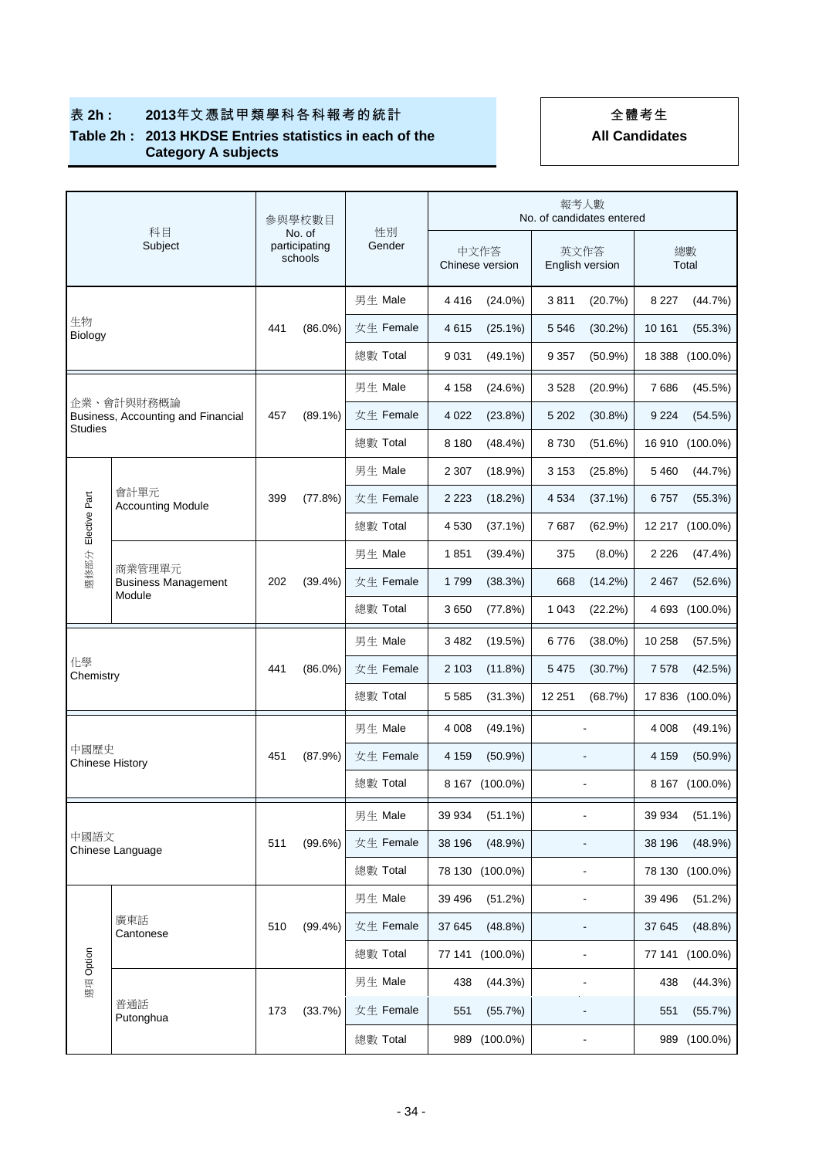## 表 **2h : 2013**年文憑試甲類學科各科報考的統計 全體考生

#### **Table 2h : 2013 HKDSE Entries statistics in each of the Category A subjects**

| 科目                             | 参與學校數目<br>No. of                                 |     | 性別                       | 報考人數<br>No. of candidates entered |                         |                 |                         |                              |          |                 |  |
|--------------------------------|--------------------------------------------------|-----|--------------------------|-----------------------------------|-------------------------|-----------------|-------------------------|------------------------------|----------|-----------------|--|
|                                | Subject                                          |     | participating<br>schools | Gender                            | 中文作答<br>Chinese version |                 | 英文作答<br>English version |                              |          | 總數<br>Total     |  |
|                                |                                                  |     |                          | 男生 Male                           | 4416                    | $(24.0\%)$      | 3811                    | (20.7%)                      | 8 2 2 7  | (44.7%)         |  |
| 生物<br>Biology                  |                                                  | 441 | $(86.0\%)$               | 女生 Female                         | 4615                    | $(25.1\%)$      | 5 5 4 6                 | $(30.2\%)$                   | 10 161   | (55.3%)         |  |
|                                |                                                  |     |                          | 總數 Total                          | 9 0 31                  | $(49.1\%)$      | 9 3 5 7                 | (50.9%                       | 18 3 8 8 | $(100.0\%)$     |  |
|                                |                                                  |     |                          | 男生 Male                           | 4 1 5 8                 | (24.6%)         | 3528                    | $(20.9\%)$                   | 7686     | $(45.5\%)$      |  |
|                                | 企業、會計與財務概論<br>Business, Accounting and Financial | 457 | $(89.1\%)$               | 女生 Female                         | 4 0 2 2                 | (23.8%)         | 5 2 0 2                 | $(30.8\%)$                   | 9 2 2 4  | (54.5%)         |  |
| Studies                        |                                                  |     |                          | 總數 Total                          | 8 1 8 0                 | (48.4%)         | 8730                    | (51.6%)                      | 16910    | $(100.0\%)$     |  |
|                                |                                                  |     |                          | 男生 Male                           | 2 3 0 7                 | $(18.9\%)$      | 3 1 5 3                 | $(25.8\%)$                   | 5 4 6 0  | (44.7%)         |  |
|                                | 會計單元<br><b>Accounting Module</b>                 | 399 | (77.8%)                  | 女生 Female                         | 2 2 2 3                 | $(18.2\%)$      | 4 5 3 4                 | $(37.1\%)$                   | 6757     | (55.3%)         |  |
| Elective Part                  |                                                  |     |                          | 總數 Total                          | 4 5 3 0                 | $(37.1\%)$      | 7687                    | (62.9%)                      |          | 12 217 (100.0%) |  |
|                                |                                                  |     |                          | 男生 Male                           | 1851                    | (39.4%)         | 375                     | $(8.0\%)$                    | 2 2 2 6  | (47.4%)         |  |
| 選修部分                           | 商業管理單元<br><b>Business Management</b><br>Module   | 202 | (39.4% )                 | 女生 Female                         | 1799                    | (38.3%)         | 668                     | $(14.2\%)$                   | 2 4 6 7  | (52.6%)         |  |
|                                |                                                  |     |                          | 總數 Total                          | 3650                    | (77.8%)         | 1 0 4 3                 | (22.2%)                      |          | 4 693 (100.0%)  |  |
|                                |                                                  |     | $(86.0\%)$               | 男生 Male                           | 3 4 8 2                 | (19.5%)         | 6776                    | $(38.0\%)$                   | 10 258   | (57.5%)         |  |
| 化學<br>Chemistry                |                                                  | 441 |                          | 女生 Female                         | 2 1 0 3                 | (11.8%)         | 5 4 7 5                 | (30.7%)                      | 7578     | (42.5%)         |  |
|                                |                                                  |     |                          | 總數 Total                          | 5 5 8 5                 | (31.3%)         | 12 251                  | (68.7%)                      |          | 17 836 (100.0%) |  |
|                                |                                                  |     |                          | 男生 Male                           | 4 0 0 8                 | $(49.1\%)$      |                         |                              | 4 0 0 8  | $(49.1\%)$      |  |
| 中國歷史<br><b>Chinese History</b> |                                                  | 451 | $(87.9\%)$               | 女生 Female                         | 4 1 5 9                 | $(50.9\%)$      |                         |                              | 4 1 5 9  | $(50.9\%)$      |  |
|                                |                                                  |     |                          | 總數 Total                          |                         | 8 167 (100.0%)  |                         | L,                           |          | 8 167 (100.0%)  |  |
|                                |                                                  |     |                          | 男生 Male                           | 39 934                  | $(51.1\%)$      |                         |                              | 39 934   | $(51.1\%)$      |  |
| 中國語文                           | Chinese Language                                 | 511 | $(99.6\%)$               | 女生 Female                         | 38 196                  | (48.9%)         |                         |                              | 38 196   | (48.9%)         |  |
|                                |                                                  |     |                          | 總數 Total                          |                         | 78 130 (100.0%) |                         |                              |          | 78 130 (100.0%) |  |
|                                |                                                  |     |                          | 男生 Male                           | 39 4 96                 | (51.2%)         |                         |                              | 39 4 96  | (51.2%)         |  |
|                                | 廣東話<br>Cantonese                                 | 510 | (99.4% )                 | 女生 Female                         | 37 645                  | (48.8%)         |                         |                              | 37 645   | (48.8%)         |  |
|                                |                                                  |     |                          | 總數 Total                          |                         | 77 141 (100.0%) |                         | $\blacksquare$               |          | 77 141 (100.0%) |  |
| 選項 Option                      |                                                  |     |                          | 男生 Male                           | 438                     | (44.3%)         |                         | $\overline{\phantom{a}}$     | 438      | (44.3%)         |  |
|                                | 普通話<br>Putonghua                                 | 173 | (33.7%)                  | 女生 Female                         | 551                     | (55.7%)         |                         |                              | 551      | (55.7%)         |  |
|                                |                                                  |     |                          | 總數 Total                          | 989                     | $(100.0\%)$     |                         | $\qquad \qquad \blacksquare$ | 989      | $(100.0\%)$     |  |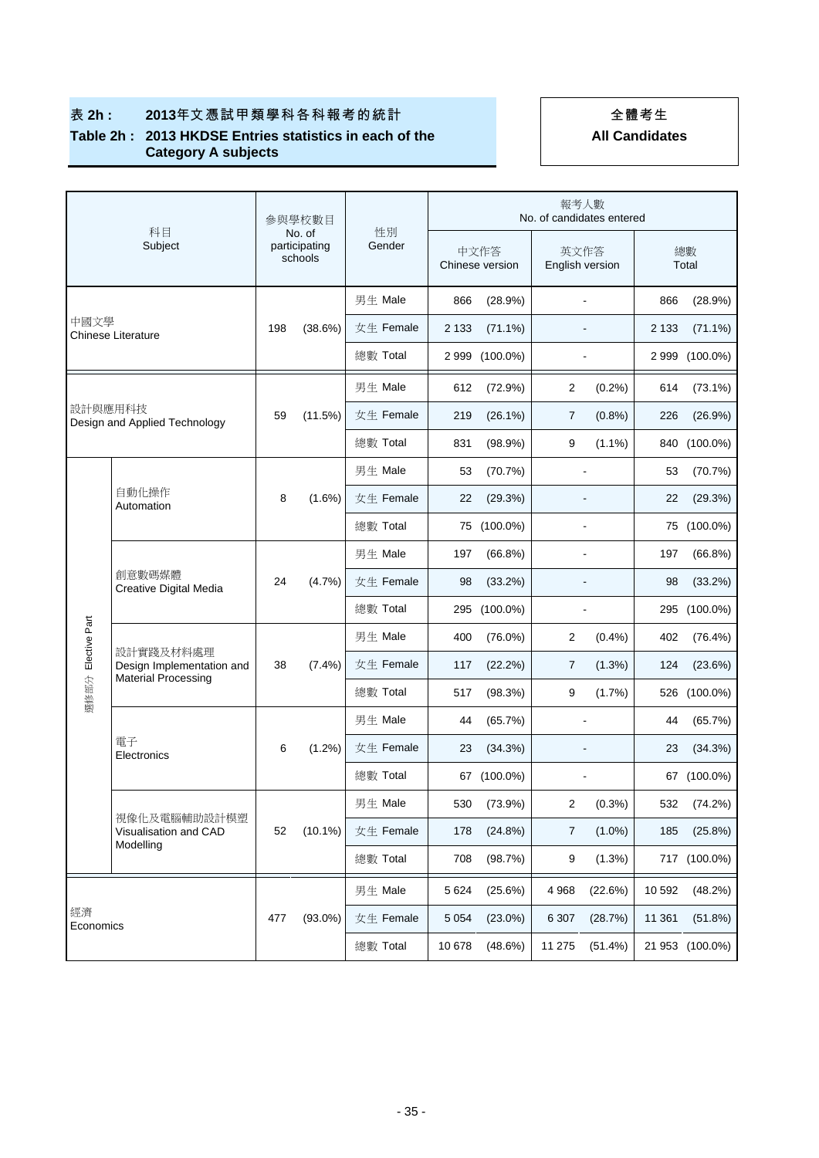## 表 **2h : 2013**年文憑試甲類學科各科報考的統計 全體考生

#### **Table 2h : 2013 HKDSE Entries statistics in each of the Category A subjects**

|                    | 科目                                                 | 参與學校數目<br>No. of |                          | 性別        | 報考人數<br>No. of candidates entered |                         |                |                         |         |                 |  |
|--------------------|----------------------------------------------------|------------------|--------------------------|-----------|-----------------------------------|-------------------------|----------------|-------------------------|---------|-----------------|--|
|                    | Subject                                            |                  | participating<br>schools | Gender    |                                   | 中文作答<br>Chinese version |                | 英文作答<br>English version |         | 總數<br>Total     |  |
|                    |                                                    |                  |                          | 男生 Male   | 866                               | (28.9%)                 |                | $\blacksquare$          | 866     | (28.9%)         |  |
| 中國文學               | <b>Chinese Literature</b>                          | 198              | (38.6%)                  | 女生 Female | 2 1 3 3                           | $(71.1\%)$              |                |                         | 2 1 3 3 | $(71.1\%)$      |  |
|                    |                                                    |                  |                          | 總數 Total  | 2 999                             | $(100.0\%)$             |                |                         | 2999    | $(100.0\%)$     |  |
|                    |                                                    |                  |                          | 男生 Male   | 612                               | (72.9%)                 | 2              | (0.2%)                  | 614     | $(73.1\%)$      |  |
| 設計與應用科技            | Design and Applied Technology                      | 59               | (11.5%)                  | 女生 Female | 219                               | (26.1%)                 | 7              | (0.8%)                  | 226     | (26.9%)         |  |
|                    |                                                    |                  |                          | 總數 Total  | 831                               | (98.9%)                 | 9              | $(1.1\%)$               | 840     | $(100.0\%)$     |  |
|                    |                                                    |                  |                          | 男生 Male   | 53                                | (70.7%)                 |                |                         | 53      | (70.7%)         |  |
|                    | 自動化操作<br>Automation                                |                  | $(1.6\%)$                | 女生 Female | 22                                | (29.3%)                 |                |                         | 22      | (29.3%)         |  |
|                    |                                                    |                  |                          | 總數 Total  |                                   | 75 (100.0%)             |                |                         |         | 75 (100.0%)     |  |
|                    | 創意數碼媒體<br>Creative Digital Media                   | 24               | (4.7%)                   | 男生 Male   | 197                               | $(66.8\%)$              |                |                         | 197     | $(66.8\%)$      |  |
|                    |                                                    |                  |                          | 女生 Female | 98                                | (33.2%)                 |                |                         | 98      | (33.2%)         |  |
|                    |                                                    |                  |                          | 總數 Total  |                                   | 295 (100.0%)            |                |                         |         | 295 (100.0%)    |  |
| 選修部分 Elective Part |                                                    |                  | $(7.4\%)$                | 男生 Male   | 400                               | $(76.0\%)$              | 2              | (0.4% )                 | 402     | (76.4%)         |  |
|                    | 設計實踐及材料處理<br>Design Implementation and             | 38               |                          | 女生 Female | 117                               | (22.2%)                 | $\overline{7}$ | (1.3%)                  | 124     | (23.6%)         |  |
|                    | <b>Material Processing</b>                         |                  |                          | 總數 Total  | 517                               | (98.3%)                 | 9              | (1.7%)                  |         | 526 (100.0%)    |  |
|                    |                                                    |                  |                          | 男生 Male   | 44                                | (65.7%)                 |                | L,                      | 44      | (65.7%)         |  |
|                    | 電子<br>Electronics                                  | 6                | $(1.2\%)$                | 女生 Female | 23                                | (34.3%)                 |                |                         | 23      | (34.3%)         |  |
|                    |                                                    |                  |                          | 總數 Total  |                                   | 67 (100.0%)             |                |                         |         | 67 (100.0%)     |  |
|                    |                                                    |                  |                          | 男生 Male   | 530                               | (73.9%)                 | 2              | (0.3%)                  | 532     | (74.2%)         |  |
|                    | 視像化及電腦輔助設計模塑<br>Visualisation and CAD<br>Modelling | 52               | $(10.1\%)$               | 女生 Female | 178                               | (24.8%)                 | $\overline{7}$ | $(1.0\%)$               | 185     | (25.8%)         |  |
|                    |                                                    |                  |                          | 總數 Total  | 708                               | (98.7%)                 | 9              | (1.3%)                  |         | 717 (100.0%)    |  |
|                    |                                                    |                  |                          | 男生 Male   | 5 6 2 4                           | (25.6%)                 | 4968           | (22.6%)                 | 10 592  | (48.2%)         |  |
| 經濟                 |                                                    | 477              | $(93.0\%)$               | 女生 Female | 5 0 5 4                           | $(23.0\%)$              | 6 3 0 7        | (28.7%)                 | 11 361  | (51.8%)         |  |
|                    | Economics                                          |                  |                          | 總數 Total  | 10 678                            | (48.6%)                 | 11 275         | (51.4%)                 |         | 21 953 (100.0%) |  |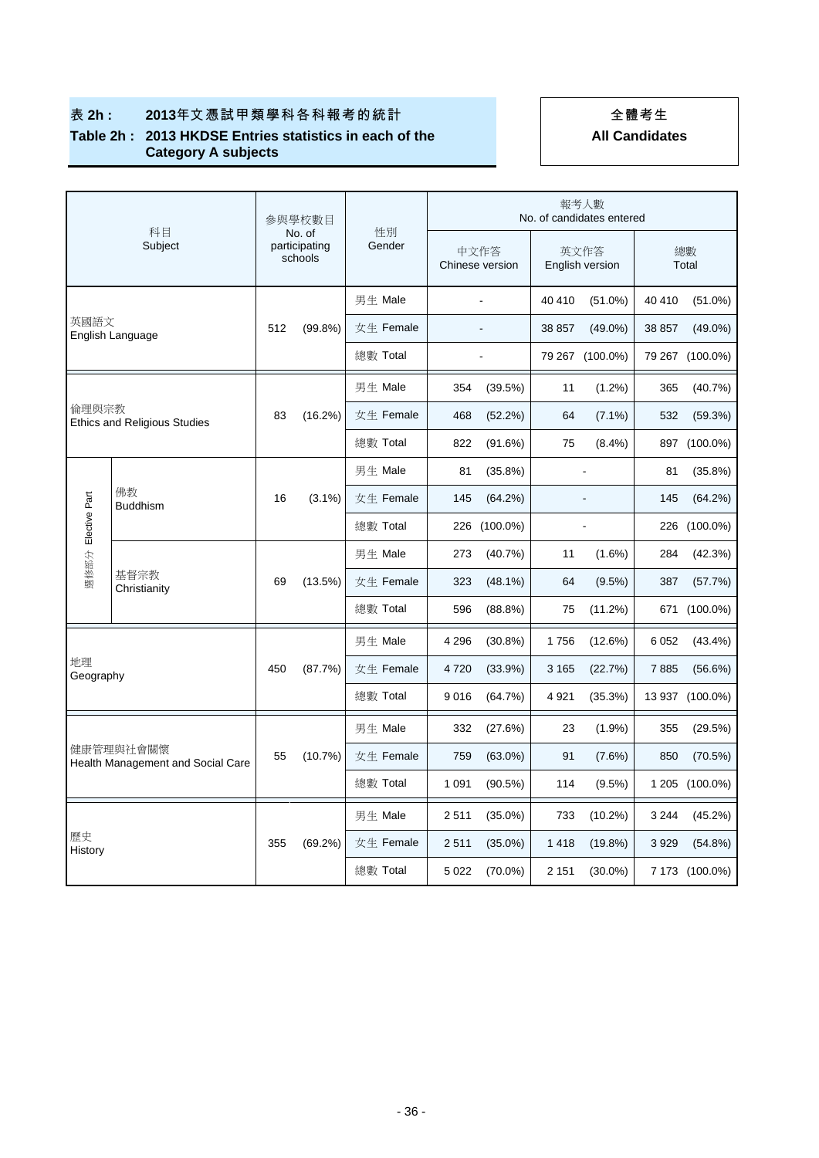## 表 **2h : 2013**年文憑試甲類學科各科報考的統計 全體考生

#### **Table 2h : 2013 HKDSE Entries statistics in each of the Category A subjects**

| 科目              | 參與學校數目<br>No. of                               |     | 性別                       |         | 報考人數<br>No. of candidates entered |                         |              |         |                         |             |                 |  |
|-----------------|------------------------------------------------|-----|--------------------------|---------|-----------------------------------|-------------------------|--------------|---------|-------------------------|-------------|-----------------|--|
|                 | Subject                                        |     | participating<br>schools | Gender  |                                   | 中文作答<br>Chinese version |              |         | 英文作答<br>English version | 總數<br>Total |                 |  |
|                 |                                                |     |                          | 男生 Male |                                   |                         | ÷,           | 40 410  | $(51.0\%)$              | 40 410      | $(51.0\%)$      |  |
| 英國語文            | English Language                               | 512 | $(99.8\%)$               |         | 女生 Female                         |                         |              | 38 857  | $(49.0\%)$              | 38 857      | $(49.0\%)$      |  |
|                 |                                                |     |                          |         | 總數 Total                          |                         |              |         | 79 267 (100.0%)         |             | 79 267 (100.0%) |  |
|                 |                                                |     |                          |         | 男生 Male                           | 354                     | (39.5%)      | 11      | $(1.2\%)$               | 365         | (40.7%)         |  |
| 倫理與宗教           | <b>Ethics and Religious Studies</b>            | 83  | (16.2%)                  |         | 女生 Female                         | 468                     | (52.2%)      | 64      | $(7.1\%)$               | 532         | (59.3%)         |  |
|                 |                                                |     |                          |         | 總數 Total                          | 822                     | (91.6%)      | 75      | $(8.4\%)$               | 897         | $(100.0\%)$     |  |
|                 |                                                |     |                          |         | 男生 Male                           | 81                      | $(35.8\%)$   |         | ÷,                      | 81          | $(35.8\%)$      |  |
|                 | 佛教<br><b>Buddhism</b>                          | 16  | $(3.1\%)$                |         | 女生 Female                         | 145                     | (64.2%)      |         |                         | 145         | (64.2%)         |  |
| Elective Part   |                                                |     |                          |         | 總數 Total                          |                         | 226 (100.0%) |         |                         |             | 226 (100.0%)    |  |
|                 |                                                |     |                          |         | 男生 Male                           | 273                     | (40.7%       | 11      | $(1.6\%)$               | 284         | (42.3%)         |  |
| 選修部分            | 基督宗教<br>Christianity                           | 69  | (13.5%)                  |         | 女生 Female                         | 323                     | $(48.1\%)$   | 64      | (9.5%)                  | 387         | (57.7%)         |  |
|                 |                                                |     |                          |         | 總數 Total                          | 596                     | (88.8%)      | 75      | (11.2%)                 |             | 671 (100.0%)    |  |
|                 |                                                |     |                          |         | 男生 Male                           | 4 2 9 6                 | $(30.8\%)$   | 1756    | (12.6%)                 | 6 0 5 2     | $(43.4\%)$      |  |
| 地理<br>Geography |                                                | 450 | (87.7%)                  |         | 女生 Female                         | 4720                    | (33.9%)      | 3 1 6 5 | (22.7%)                 | 7885        | (56.6%)         |  |
|                 |                                                |     |                          |         | 總數 Total                          | 9016                    | (64.7%)      | 4 9 21  | (35.3%)                 |             | 13 937 (100.0%) |  |
|                 |                                                |     |                          |         | 男生 Male                           | 332                     | (27.6%)      | 23      | $(1.9\%)$               | 355         | (29.5%)         |  |
|                 | 健康管理與社會關懷<br>Health Management and Social Care | 55  | (10.7%)                  |         | 女生 Female                         | 759                     | $(63.0\%)$   | 91      | $(7.6\%)$               | 850         | (70.5%)         |  |
|                 |                                                |     |                          |         | 總數 Total                          | 1 0 9 1                 | (90.5%)      | 114     | $(9.5\%)$               |             | 1 205 (100.0%)  |  |
|                 |                                                |     |                          |         | 男生 Male                           | 2511                    | $(35.0\%)$   | 733     | $(10.2\%)$              | 3 2 4 4     | (45.2%)         |  |
| 歷史<br>History   |                                                | 355 | (69.2%)                  |         | 女生 Female                         | 2511                    | $(35.0\%)$   | 1418    | $(19.8\%)$              | 3929        | $(54.8\%)$      |  |
|                 |                                                |     |                          |         | 總數 Total                          | 5 0 2 2                 | $(70.0\%)$   | 2 1 5 1 | $(30.0\%)$              |             | 7 173 (100.0%)  |  |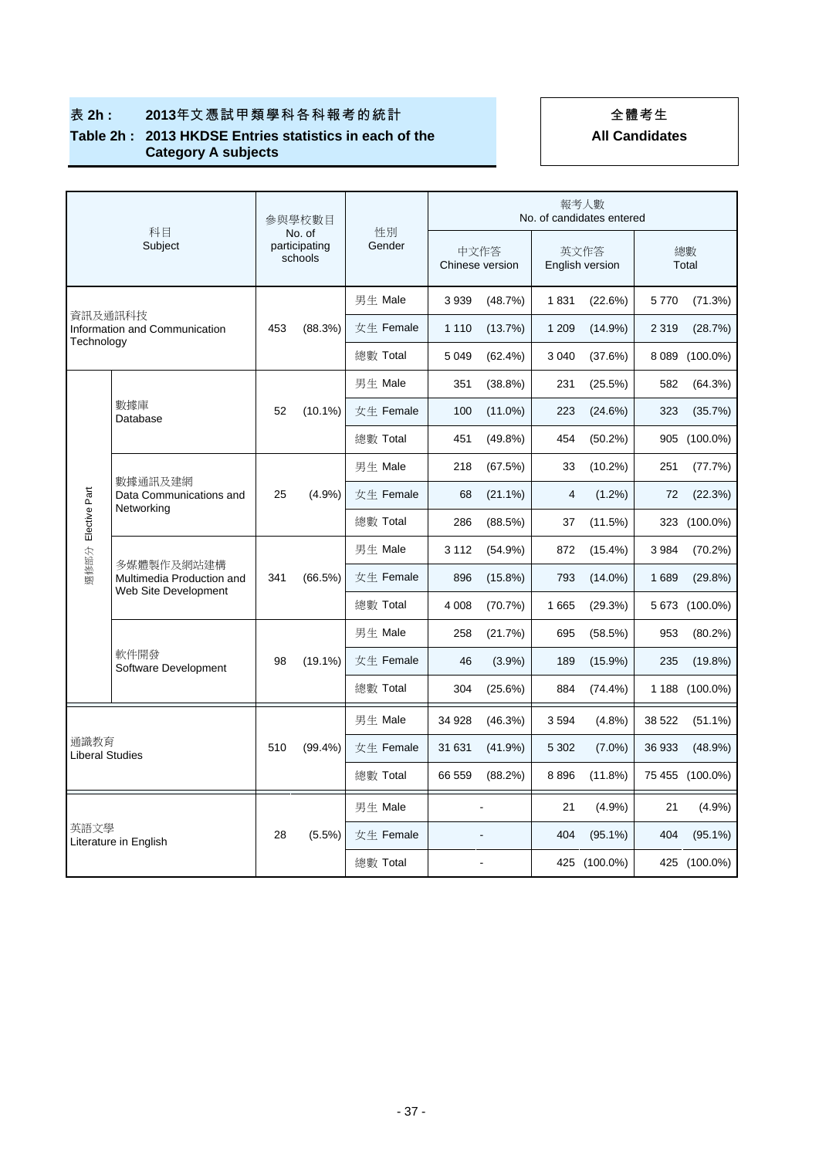|                                | 科目                                                              | 參與學校數目<br>No. of |                          |              | 報考人數<br>No. of candidates entered |                         |              |                         |              |                 |  |
|--------------------------------|-----------------------------------------------------------------|------------------|--------------------------|--------------|-----------------------------------|-------------------------|--------------|-------------------------|--------------|-----------------|--|
|                                | Subject                                                         |                  | participating<br>schools | 性別<br>Gender |                                   | 中文作答<br>Chinese version |              | 英文作答<br>English version |              | 總數<br>Total     |  |
|                                |                                                                 |                  |                          | 男生 Male      | 3 9 3 9                           | (48.7%)                 | 1831         | (22.6%)                 | 5770         | (71.3%)         |  |
| 資訊及通訊科技<br>Technology          | Information and Communication                                   | 453              | (88.3%)                  | 女生 Female    | 1 1 1 0                           | (13.7%)                 | 1 2 0 9      | (14.9%)                 | 2 3 1 9      | (28.7%)         |  |
|                                |                                                                 |                  |                          | 總數 Total     | 5 0 4 9                           | $(62.4\%)$              | 3 0 4 0      | (37.6%)                 | 8 0 8 9      | $(100.0\%)$     |  |
|                                |                                                                 |                  |                          | 男生 Male      | 351                               | $(38.8\%)$              | 231          | (25.5%)                 | 582          | (64.3%)         |  |
|                                | 數據庫<br>Database                                                 | 52               | $(10.1\%)$               | 女生 Female    | 100                               | $(11.0\%)$              | 223          | (24.6%)                 | 323          | (35.7%)         |  |
|                                |                                                                 |                  |                          | 總數 Total     | 451                               | $(49.8\%)$              | 454          | $(50.2\%)$              | 905          | $(100.0\%)$     |  |
|                                |                                                                 |                  |                          | 男生 Male      | 218                               | (67.5%)                 | 33           | $(10.2\%)$              | 251          | (77.7%)         |  |
| Elective Part                  | 數據通訊及建網<br>Data Communications and<br>Networking                | 25               | (4.9%                    | 女生 Female    | 68                                | $(21.1\%)$              | 4            | $(1.2\%)$               | 72           | (22.3%)         |  |
|                                |                                                                 |                  |                          | 總數 Total     | 286                               | (88.5%)                 | 37           | (11.5%)                 | 323          | $(100.0\%)$     |  |
| 選修部分                           | 多媒體製作及網站建構<br>Multimedia Production and<br>Web Site Development | 341              | (66.5%)                  | 男生 Male      | 3 1 1 2                           | (54.9%)                 | 872          | $(15.4\%)$              | 3984         | (70.2%)         |  |
|                                |                                                                 |                  |                          | 女生 Female    | 896                               | $(15.8\%)$              | 793          | $(14.0\%)$              | 1689         | (29.8%)         |  |
|                                |                                                                 |                  |                          | 總數 Total     | 4 0 0 8                           | (70.7%)                 | 1665         | (29.3%)                 |              | 5 673 (100.0%)  |  |
|                                |                                                                 |                  |                          | 男生 Male      | 258                               | (21.7%)                 | 695          | (58.5%)                 | 953          | (80.2%)         |  |
|                                | 軟件開發<br>Software Development                                    | 98               | $(19.1\%)$               | 女生 Female    | 46                                | $(3.9\%)$               | 189          | $(15.9\%)$              | 235          | (19.8%)         |  |
|                                |                                                                 |                  |                          | 總數 Total     | 304                               | (25.6%)                 | 884          | $(74.4\%)$              |              | 1 188 (100.0%)  |  |
|                                |                                                                 |                  |                          | 男生 Male      | 34 928                            | (46.3%)                 | 3594         | (4.8%)                  | 38 522       | $(51.1\%)$      |  |
| 涌識教育<br><b>Liberal Studies</b> |                                                                 | 510              | $(99.4\%)$               | 女生 Female    | 31 631                            | (41.9%)                 | 5 3 0 2      | $(7.0\%)$               | 36 933       | (48.9%)         |  |
|                                |                                                                 |                  |                          | 總數 Total     | 66 559                            | (88.2%)                 | 8896         | $(11.8\%)$              |              | 75 455 (100.0%) |  |
|                                |                                                                 |                  |                          | 男生 Male      |                                   |                         | 21           | (4.9%                   | 21           | (4.9%)          |  |
| 英語文學                           |                                                                 | 28               | $(5.5\%)$                | 女生 Female    |                                   |                         | 404          | $(95.1\%)$              | 404          | $(95.1\%)$      |  |
| Literature in English          |                                                                 |                  | 總數 Total                 |              |                                   |                         | 425 (100.0%) |                         | 425 (100.0%) |                 |  |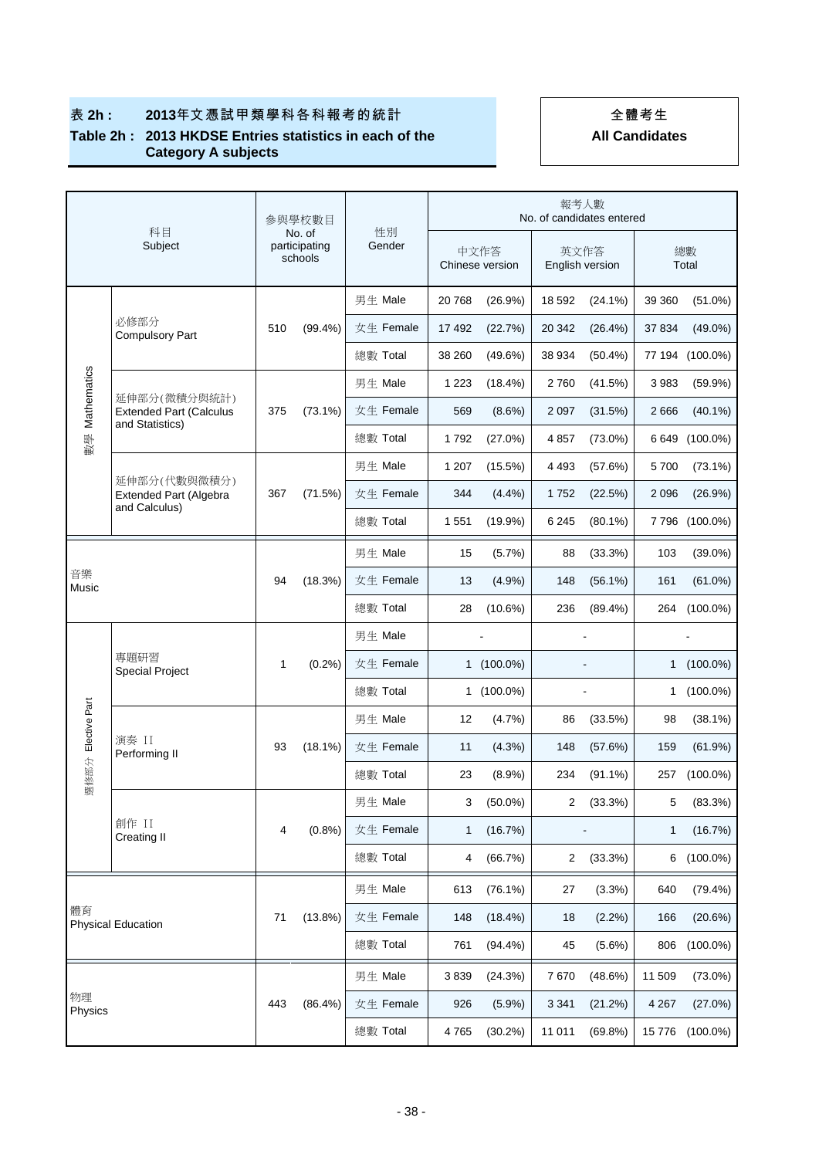|                    | 科目                                                |              | 參與學校數目                             | 性別        |                         |              |                          | 報考人數<br>No. of candidates entered |         |                |
|--------------------|---------------------------------------------------|--------------|------------------------------------|-----------|-------------------------|--------------|--------------------------|-----------------------------------|---------|----------------|
|                    | Subject                                           |              | No. of<br>participating<br>schools | Gender    | 中文作答<br>Chinese version |              |                          | 英文作答<br>English version           |         | 總數<br>Total    |
|                    |                                                   |              |                                    | 男生 Male   | 20 768                  | (26.9%)      | 18 592                   | $(24.1\%)$                        | 39 360  | $(51.0\%)$     |
|                    | 必修部分<br><b>Compulsory Part</b>                    | 510          | $(99.4\%)$                         | 女生 Female | 17 492                  | (22.7%)      | 20 342                   | $(26.4\%)$                        | 37 834  | $(49.0\%)$     |
|                    |                                                   |              |                                    | 總數 Total  | 38 260                  | (49.6%)      | 38 934                   | $(50.4\%)$                        | 77 194  | $(100.0\%)$    |
| 數學 Mathematics     | 延伸部分(微積分與統計)                                      |              |                                    | 男生 Male   | 1 2 2 3                 | (18.4%)      | 2760                     | (41.5%)                           | 3983    | (59.9%)        |
|                    | <b>Extended Part (Calculus</b><br>and Statistics) | 375          | $(73.1\%)$                         | 女生 Female | 569                     | $(8.6\%)$    | 2 0 9 7                  | (31.5%)                           | 2666    | $(40.1\%)$     |
|                    |                                                   |              |                                    | 總數 Total  | 1792                    | (27.0%)      | 4857                     | $(73.0\%)$                        | 6649    | $(100.0\%)$    |
|                    | 延伸部分(代數與微積分)                                      |              |                                    | 男生 Male   | 1 207                   | (15.5%)      | 4 493                    | (57.6%)                           | 5700    | $(73.1\%)$     |
|                    | Extended Part (Algebra<br>and Calculus)           | 367          | (71.5%)                            | 女生 Female | 344                     | $(4.4\%)$    | 1752                     | (22.5%)                           | 2 0 9 6 | (26.9%)        |
|                    |                                                   |              |                                    | 總數 Total  | 1 5 5 1                 | $(19.9\%)$   | 6 2 4 5                  | $(80.1\%)$                        |         | 7 796 (100.0%) |
|                    |                                                   |              |                                    | 男生 Male   | 15                      | (5.7%)       | 88                       | (33.3%)                           | 103     | $(39.0\%)$     |
| 音樂<br>Music        |                                                   |              | (18.3%)                            | 女生 Female | 13                      | (4.9%)       | 148                      | $(56.1\%)$                        | 161     | $(61.0\%)$     |
|                    |                                                   |              |                                    | 總數 Total  | 28                      | $(10.6\%)$   | 236                      | $(89.4\%)$                        | 264     | $(100.0\%)$    |
|                    |                                                   |              |                                    | 男生 Male   |                         |              |                          |                                   |         |                |
|                    | 專題研習<br><b>Special Project</b>                    | $\mathbf{1}$ | (0.2%)                             | 女生 Female |                         | 1 (100.0%)   |                          |                                   | 1       | $(100.0\%)$    |
|                    |                                                   |              |                                    | 總數 Total  |                         | $1(100.0\%)$ | $\overline{\phantom{a}}$ |                                   | 1       | $(100.0\%)$    |
| 選修部分 Elective Part |                                                   |              |                                    | 男生 Male   | 12                      | (4.7%)       | 86                       | (33.5%)                           | 98      | $(38.1\%)$     |
|                    | 演奏 II<br>Performing II                            | 93           | $(18.1\%)$                         | 女生 Female | 11                      | (4.3%)       | 148                      | (57.6%)                           | 159     | (61.9%)        |
|                    |                                                   |              |                                    | 總數 Total  | 23                      | $(8.9\%)$    | 234                      | $(91.1\%)$                        | 257     | $(100.0\%)$    |
|                    |                                                   |              |                                    | 男生 Male   | 3                       | $(50.0\%)$   | 2                        | $(33.3\%)$                        | 5       | (83.3%)        |
|                    | 創作 II<br><b>Creating II</b>                       | 4            | (0.8%                              | 女生 Female | 1                       | (16.7%)      |                          |                                   | 1       | (16.7%)        |
|                    |                                                   |              |                                    | 總數 Total  | 4                       | (66.7%)      | $\overline{2}$           | (33.3%)                           | 6       | $(100.0\%)$    |
|                    |                                                   |              |                                    | 男生 Male   | 613                     | $(76.1\%)$   | 27                       | (3.3%)                            | 640     | (79.4%)        |
| 體育                 | <b>Physical Education</b>                         | 71           | (13.8%)                            | 女生 Female | 148                     | $(18.4\%)$   | 18                       | $(2.2\%)$                         | 166     | (20.6%)        |
|                    |                                                   |              |                                    | 總數 Total  | 761                     | $(94.4\%)$   | 45                       | $(5.6\%)$                         | 806     | $(100.0\%)$    |
|                    |                                                   |              |                                    | 男生 Male   | 3839                    | (24.3%)      | 7670                     | (48.6%)                           | 11 509  | $(73.0\%)$     |
| 物理                 |                                                   | 443          | $(86.4\%)$                         | 女生 Female | 926                     | (5.9%)       | 3 3 4 1                  | (21.2%)                           | 4 2 6 7 | (27.0%)        |
|                    | Physics                                           |              |                                    | 總數 Total  | 4765                    | $(30.2\%)$   | 11 011                   | (69.8%)                           | 15776   | $(100.0\%)$    |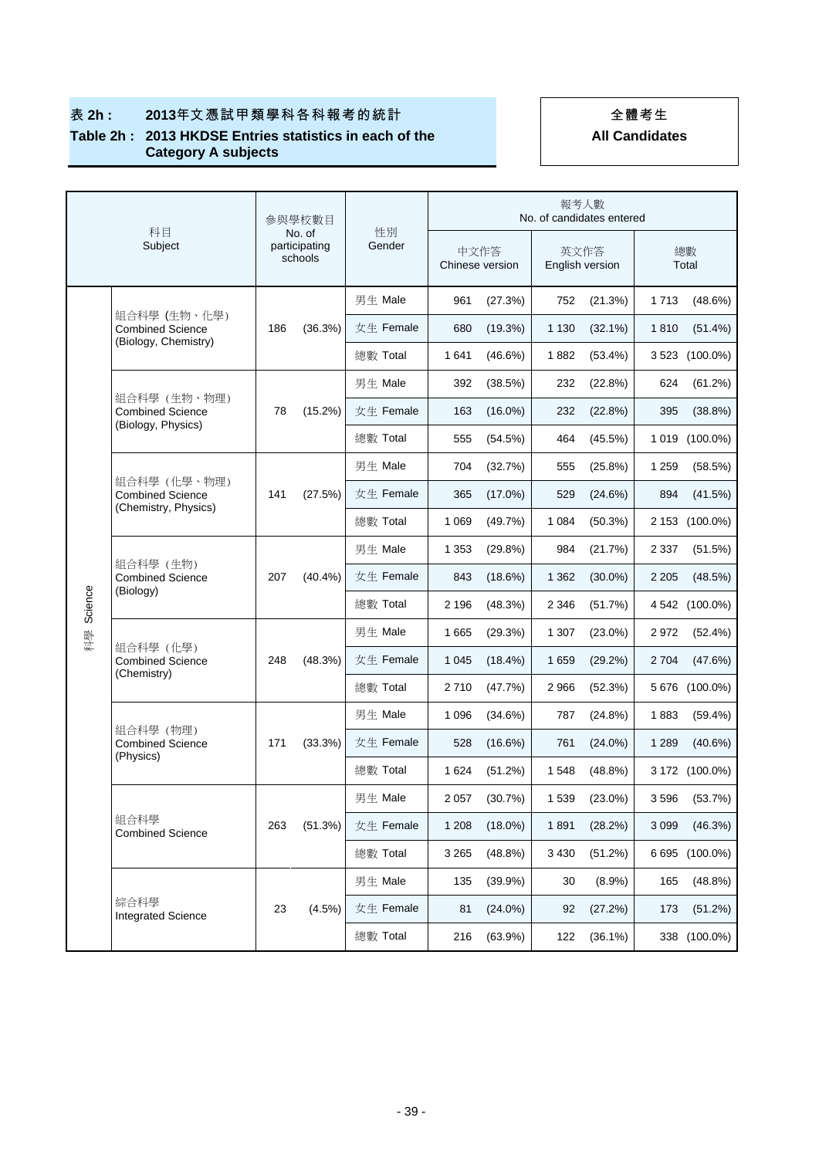|         | 科目                                                              |     | 參與學校數目                             |              |                         |            |                         |            | 報考人數<br>No. of candidates entered |                |  |  |  |  |  |  |
|---------|-----------------------------------------------------------------|-----|------------------------------------|--------------|-------------------------|------------|-------------------------|------------|-----------------------------------|----------------|--|--|--|--|--|--|
|         | Subject                                                         |     | No. of<br>participating<br>schools | 性別<br>Gender | 中文作答<br>Chinese version |            | 英文作答<br>English version |            |                                   | 總數<br>Total    |  |  |  |  |  |  |
|         |                                                                 |     |                                    | 男生 Male      | 961                     | (27.3%)    | 752                     | (21.3%)    | 1 7 1 3                           | $(48.6\%)$     |  |  |  |  |  |  |
|         | 組合科學 (生物、化學)<br><b>Combined Science</b><br>(Biology, Chemistry) | 186 | (36.3%)                            | 女生 Female    | 680                     | (19.3%)    | 1 1 3 0                 | $(32.1\%)$ | 1810                              | $(51.4\%)$     |  |  |  |  |  |  |
|         |                                                                 |     |                                    | 總數 Total     | 1641                    | $(46.6\%)$ | 1882                    | $(53.4\%)$ | 3 5 2 3                           | $(100.0\%)$    |  |  |  |  |  |  |
|         |                                                                 |     |                                    | 男生 Male      | 392                     | (38.5%)    | 232                     | (22.8%)    | 624                               | (61.2%)        |  |  |  |  |  |  |
|         | 組合科學 (生物、物理)<br><b>Combined Science</b><br>(Biology, Physics)   | 78  | $(15.2\%)$                         | 女生 Female    | 163                     | $(16.0\%)$ | 232                     | (22.8%)    | 395                               | (38.8%)        |  |  |  |  |  |  |
|         |                                                                 |     |                                    | 總數 Total     | 555                     | (54.5%)    | 464                     | (45.5%)    | 1 0 1 9                           | $(100.0\%)$    |  |  |  |  |  |  |
|         |                                                                 |     |                                    | 男生 Male      | 704                     | (32.7%)    | 555                     | (25.8%)    | 1 2 5 9                           | (58.5%)        |  |  |  |  |  |  |
|         | 組合科學 (化學、物理)<br><b>Combined Science</b><br>(Chemistry, Physics) | 141 | (27.5%)                            | 女生 Female    | 365                     | $(17.0\%)$ | 529                     | (24.6%)    | 894                               | (41.5%)        |  |  |  |  |  |  |
|         |                                                                 |     |                                    | 總數 Total     | 1 0 6 9                 | (49.7%)    | 1 0 8 4                 | $(50.3\%)$ | 2 1 5 3                           | $(100.0\%)$    |  |  |  |  |  |  |
|         | 組合科學 (生物)<br><b>Combined Science</b><br>(Biology)               |     |                                    | 男生 Male      | 1 3 5 3                 | (29.8%)    | 984                     | (21.7%)    | 2 3 3 7                           | (51.5%)        |  |  |  |  |  |  |
|         |                                                                 | 207 | $(40.4\%)$                         | 女生 Female    | 843                     | (18.6%)    | 1 3 6 2                 | $(30.0\%)$ | 2 2 0 5                           | (48.5%)        |  |  |  |  |  |  |
| Science |                                                                 |     |                                    | 總數 Total     | 2 1 9 6                 | (48.3%)    | 2 3 4 6                 | (51.7%)    |                                   | 4 542 (100.0%) |  |  |  |  |  |  |
| 科學      | 組合科學 (化學)                                                       | 248 | (48.3%)                            | 男生 Male      | 1665                    | (29.3%)    | 1 307                   | $(23.0\%)$ | 2972                              | (52.4%)        |  |  |  |  |  |  |
|         | <b>Combined Science</b><br>(Chemistry)                          |     |                                    | 女生 Female    | 1 0 4 5                 | $(18.4\%)$ | 1659                    | (29.2%)    | 2 7 0 4                           | (47.6%)        |  |  |  |  |  |  |
|         |                                                                 |     |                                    | 總數 Total     | 2710                    | (47.7%)    | 2966                    | (52.3%)    | 5676                              | $(100.0\%)$    |  |  |  |  |  |  |
|         |                                                                 |     |                                    | 男生 Male      | 1 0 9 6                 | (34.6%)    | 787                     | (24.8%)    | 1883                              | (59.4%)        |  |  |  |  |  |  |
|         | 組合科學 (物理)<br><b>Combined Science</b><br>(Physics)               | 171 | (33.3%)                            | 女生 Female    | 528                     | $(16.6\%)$ | 761                     | $(24.0\%)$ | 1 2 8 9                           | (40.6%)        |  |  |  |  |  |  |
|         |                                                                 |     |                                    | 總數 Total     | 1 6 2 4                 | (51.2%)    | 1548                    | $(48.8\%)$ |                                   | 3 172 (100.0%) |  |  |  |  |  |  |
|         |                                                                 |     |                                    | 男生 Male      | 2 0 5 7                 | (30.7%)    | 1539                    | $(23.0\%)$ | 3596                              | (53.7%)        |  |  |  |  |  |  |
|         | 組合科學<br><b>Combined Science</b>                                 | 263 | (51.3%)                            | 女生 Female    | 1 208                   | $(18.0\%)$ | 1891                    | (28.2%)    | 3 0 9 9                           | (46.3%)        |  |  |  |  |  |  |
|         |                                                                 |     |                                    | 總數 Total     | 3 2 6 5                 | (48.8%)    | 3 4 3 0                 | (51.2%)    |                                   | 6 695 (100.0%) |  |  |  |  |  |  |
|         |                                                                 |     |                                    | 男生 Male      | 135                     | $(39.9\%)$ | 30                      | $(8.9\%)$  | 165                               | (48.8%)        |  |  |  |  |  |  |
|         | 綜合科學<br><b>Integrated Science</b>                               | 23  | (4.5%)                             | 女生 Female    | 81                      | $(24.0\%)$ | 92                      | (27.2%)    | 173                               | (51.2%)        |  |  |  |  |  |  |
|         |                                                                 |     |                                    | 總數 Total     | 216                     | (63.9%)    | 122                     | $(36.1\%)$ |                                   | 338 (100.0%)   |  |  |  |  |  |  |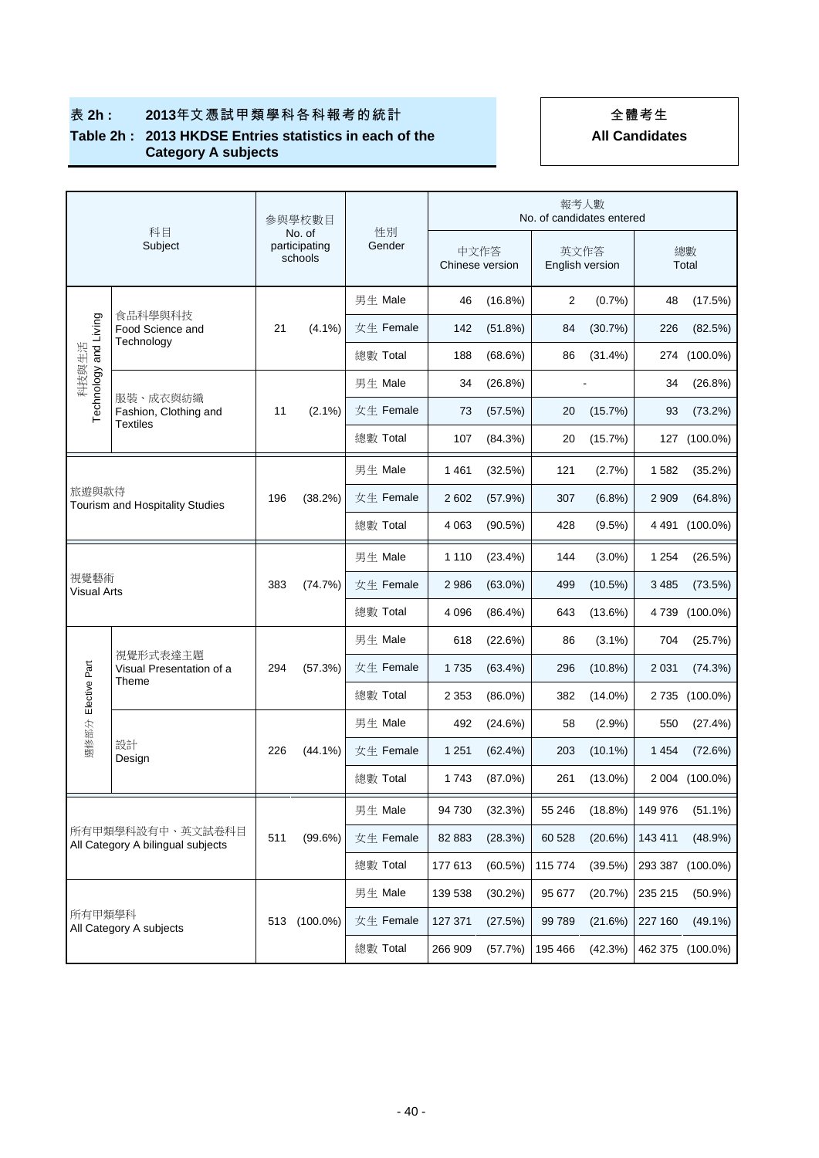|  | <b>All Candidates</b> |
|--|-----------------------|
|  |                       |

|                            | 科目                                                    | 参與學校數目<br>No. of |                          | 性別        |         |                         | No. of candidates entered | 報考人數            |             |                |
|----------------------------|-------------------------------------------------------|------------------|--------------------------|-----------|---------|-------------------------|---------------------------|-----------------|-------------|----------------|
|                            | Subject                                               |                  | participating<br>schools | Gender    |         | 中文作答<br>Chinese version | 英文作答                      | English version | 總數<br>Total |                |
|                            |                                                       |                  |                          | 男生 Male   | 46      | (16.8%)                 | 2                         | (0.7%           | 48          | (17.5%)        |
| Technology and Living      | 食品科學與科技<br>Food Science and<br>Technology             | 21               | $(4.1\%)$                | 女生 Female | 142     | (51.8%)                 | 84                        | (30.7%)         | 226         | (82.5%)        |
| 科技與生活                      |                                                       |                  |                          | 總數 Total  | 188     | $(68.6\%)$              | 86                        | $(31.4\%)$      |             | 274 (100.0%)   |
|                            |                                                       |                  |                          | 男生 Male   | 34      | (26.8%)                 |                           |                 | 34          | (26.8%)        |
|                            | 服裝、成衣與紡織<br>Fashion, Clothing and<br><b>Textiles</b>  | 11               | $(2.1\%)$                | 女生 Female | 73      | (57.5%)                 | 20                        | (15.7%)         | 93          | (73.2%)        |
|                            |                                                       |                  |                          | 總數 Total  | 107     | (84.3%)                 | 20                        | (15.7%)         |             | 127 (100.0%)   |
|                            |                                                       |                  |                          | 男生 Male   | 1461    | (32.5%)                 | 121                       | (2.7%)          | 1582        | (35.2%)        |
|                            | 旅遊與款待<br>Tourism and Hospitality Studies              |                  | (38.2%)                  | 女生 Female | 2 6 0 2 | (57.9%)                 | 307                       | $(6.8\%)$       | 2 9 0 9     | $(64.8\%)$     |
|                            |                                                       |                  |                          | 總數 Total  | 4 0 63  | (90.5%)                 | 428                       | (9.5%)          |             | 4 491 (100.0%) |
|                            |                                                       |                  |                          | 男生 Male   | 1 1 1 0 | (23.4%)                 | 144                       | $(3.0\%)$       | 1 2 5 4     | (26.5%)        |
| 視覺藝術<br><b>Visual Arts</b> |                                                       | 383              | (74.7%)                  | 女生 Female | 2 9 8 6 | $(63.0\%)$              | 499                       | $(10.5\%)$      | 3 4 8 5     | (73.5%)        |
|                            |                                                       |                  |                          | 總數 Total  | 4 0 9 6 | $(86.4\%)$              | 643                       | (13.6%)         | 4 7 3 9     | $(100.0\%)$    |
|                            |                                                       |                  |                          | 男生 Male   | 618     | (22.6%)                 | 86                        | $(3.1\%)$       | 704         | (25.7%)        |
|                            | 視覺形式表達主題<br>Visual Presentation of a                  | 294              | (57.3%)                  | 女生 Female | 1735    | $(63.4\%)$              | 296                       | $(10.8\%)$      | 2 0 3 1     | (74.3%)        |
| 選修部分 Elective Part         | Theme                                                 |                  |                          | 總數 Total  | 2 3 5 3 | $(86.0\%)$              | 382                       | $(14.0\%)$      |             | 2 735 (100.0%) |
|                            |                                                       |                  |                          | 男生 Male   | 492     | (24.6%)                 | 58                        | (2.9%)          | 550         | (27.4%)        |
|                            | 設計<br>Design                                          | 226              | $(44.1\%)$               | 女生 Female | 1 2 5 1 | $(62.4\%)$              | 203                       | $(10.1\%)$      | 1 4 5 4     | (72.6%)        |
|                            |                                                       |                  |                          | 總數 Total  | 1743    | $(87.0\%)$              | 261                       | $(13.0\%)$      |             | 2 004 (100.0%) |
|                            |                                                       |                  |                          | 男生 Male   | 94 730  | (32.3%)                 | 55 246                    | (18.8%)         | 149 976     | $(51.1\%)$     |
|                            | 所有甲類學科設有中、英文試卷科目<br>All Category A bilingual subjects |                  | (99.6%)                  | 女生 Female | 82 883  | (28.3%)                 | 60 528                    | (20.6%)         | 143 411     | (48.9%)        |
|                            |                                                       |                  |                          | 總數 Total  | 177 613 | (60.5%)                 | 115 774                   | (39.5%)         | 293 387     | $(100.0\%)$    |
|                            |                                                       |                  |                          | 男生 Male   | 139 538 | $(30.2\%)$              | 95 677                    | (20.7%)         | 235 215     | $(50.9\%)$     |
| 所有甲類學科                     |                                                       | 513              | $(100.0\%)$              | 女生 Female | 127 371 | (27.5%)                 | 99 789                    | (21.6%)         | 227 160     | $(49.1\%)$     |
|                            | All Category A subjects                               |                  |                          | 總數 Total  | 266 909 | (57.7%)                 | 195 466                   | (42.3%)         | 462 375     | $(100.0\%)$    |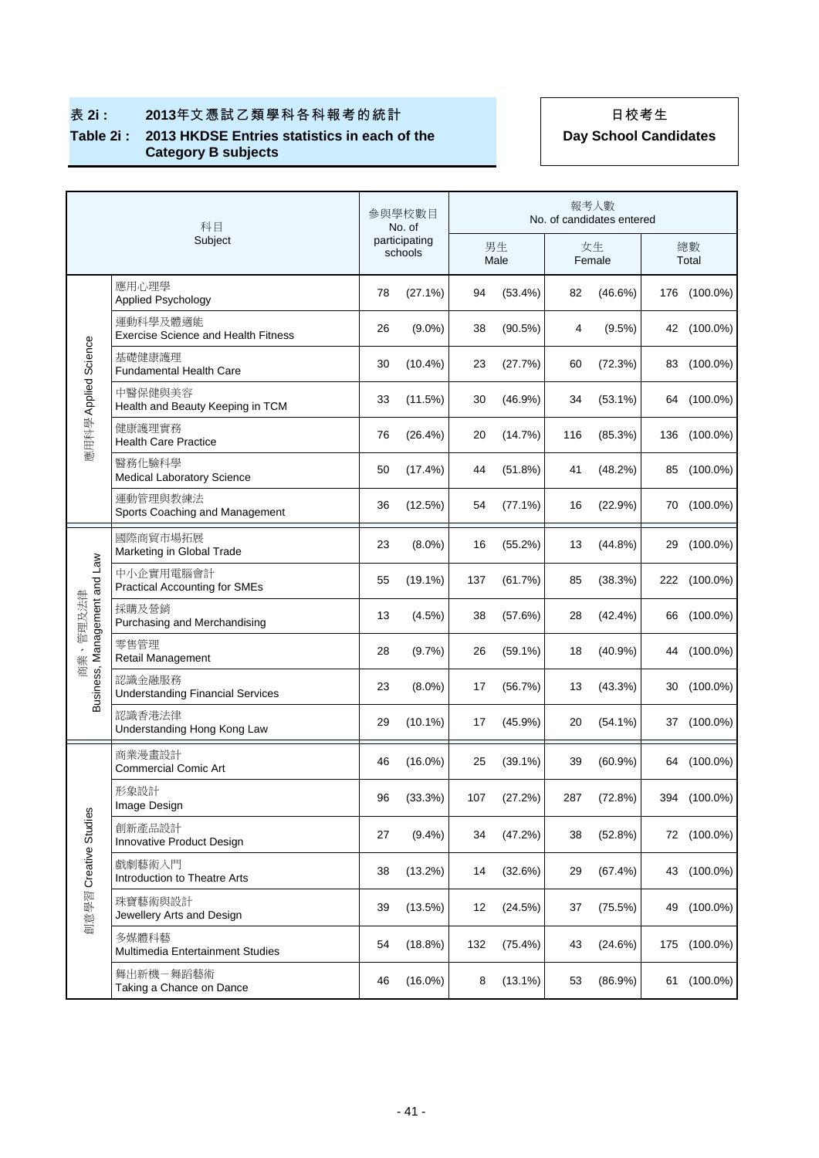|                              | 科目                                                     |    | 參與學校數目<br>No. of         | 報考人數<br>No. of candidates entered |            |     |              |    |              |  |
|------------------------------|--------------------------------------------------------|----|--------------------------|-----------------------------------|------------|-----|--------------|----|--------------|--|
|                              | Subject                                                |    | participating<br>schools |                                   | 男生<br>Male |     | 女生<br>Female |    | 總數<br>Total  |  |
|                              | 應用心理學<br>Applied Psychology                            | 78 | (27.1%)                  | 94                                | $(53.4\%)$ | 82  | (46.6%)      |    | 176 (100.0%) |  |
|                              | 運動科學及體適能<br><b>Exercise Science and Health Fitness</b> | 26 | $(9.0\%)$                | 38                                | $(90.5\%)$ | 4   | $(9.5\%)$    |    | 42 (100.0%)  |  |
|                              | 基礎健康護理<br><b>Fundamental Health Care</b>               | 30 | $(10.4\%)$               | 23                                | (27.7%)    | 60  | (72.3%)      |    | 83 (100.0%)  |  |
| 應用科學 Applied Science         | 中醫保健與美容<br>Health and Beauty Keeping in TCM            | 33 | (11.5%)                  | 30                                | (46.9%)    | 34  | $(53.1\%)$   | 64 | $(100.0\%)$  |  |
|                              | 健康護理實務<br><b>Health Care Practice</b>                  | 76 | (26.4%)                  | 20                                | (14.7%)    | 116 | (85.3%)      |    | 136 (100.0%) |  |
|                              | 醫務化驗科學<br><b>Medical Laboratory Science</b>            | 50 | (17.4%)                  | 44                                | (51.8%)    | 41  | (48.2%)      | 85 | $(100.0\%)$  |  |
|                              | 運動管理與教練法<br>Sports Coaching and Management             | 36 | (12.5%)                  | 54                                | (77.1%)    | 16  | (22.9%)      |    | 70 (100.0%)  |  |
|                              | 國際商貿市場拓展<br>Marketing in Global Trade                  | 23 | $(8.0\%)$                | 16                                | $(55.2\%)$ | 13  | $(44.8\%)$   |    | 29 (100.0%)  |  |
| Business, Management and Law | 中小企實用電腦會計<br><b>Practical Accounting for SMEs</b>      | 55 | $(19.1\%)$               | 137                               | (61.7%)    | 85  | (38.3%)      |    | 222 (100.0%) |  |
| 、管理及法律                       | 採購及營銷<br>Purchasing and Merchandising                  | 13 | (4.5%)                   | 38                                | (57.6%)    | 28  | (42.4%)      |    | 66 (100.0%)  |  |
| 商業                           | 零售管理<br>Retail Management                              | 28 | (9.7%)                   | 26                                | $(59.1\%)$ | 18  | $(40.9\%)$   |    | 44 (100.0%)  |  |
|                              | 認識金融服務<br><b>Understanding Financial Services</b>      | 23 | $(8.0\%)$                | 17                                | (56.7%)    | 13  | (43.3%)      |    | 30 (100.0%)  |  |
|                              | 認識香港法律<br>Understanding Hong Kong Law                  | 29 | $(10.1\%)$               | 17                                | $(45.9\%)$ | 20  | $(54.1\%)$   |    | 37 (100.0%)  |  |
|                              | 商業漫畫設計<br><b>Commercial Comic Art</b>                  | 46 | $(16.0\%)$               | 25                                | $(39.1\%)$ | 39  | $(60.9\%)$   | 64 | $(100.0\%)$  |  |
|                              | 形象設計<br>Image Design                                   | 96 | (33.3%)                  | 107                               | (27.2%)    | 287 | (72.8%)      |    | 394 (100.0%) |  |
|                              | 創新產品設計<br>Innovative Product Design                    | 27 | $(9.4\%)$                | 34                                | (47.2%)    | 38  | (52.8%)      |    | 72 (100.0%)  |  |
|                              | 戲劇藝術入門<br>Introduction to Theatre Arts                 | 38 | $(13.2\%)$               | 14                                | (32.6%)    | 29  | (67.4%)      |    | 43 (100.0%)  |  |
| 創意學習 Creative Studies        | 珠寶藝術與設計<br>Jewellery Arts and Design                   | 39 | (13.5%)                  | 12                                | (24.5%)    | 37  | (75.5%)      | 49 | $(100.0\%)$  |  |
|                              | 多媒體科藝<br>Multimedia Entertainment Studies              | 54 | (18.8%)                  | 132                               | $(75.4\%)$ | 43  | (24.6%)      |    | 175 (100.0%) |  |
|                              | 舞出新機-舞蹈藝術<br>Taking a Chance on Dance                  | 46 | $(16.0\%)$               | 8                                 | $(13.1\%)$ | 53  | (86.9%)      | 61 | $(100.0\%)$  |  |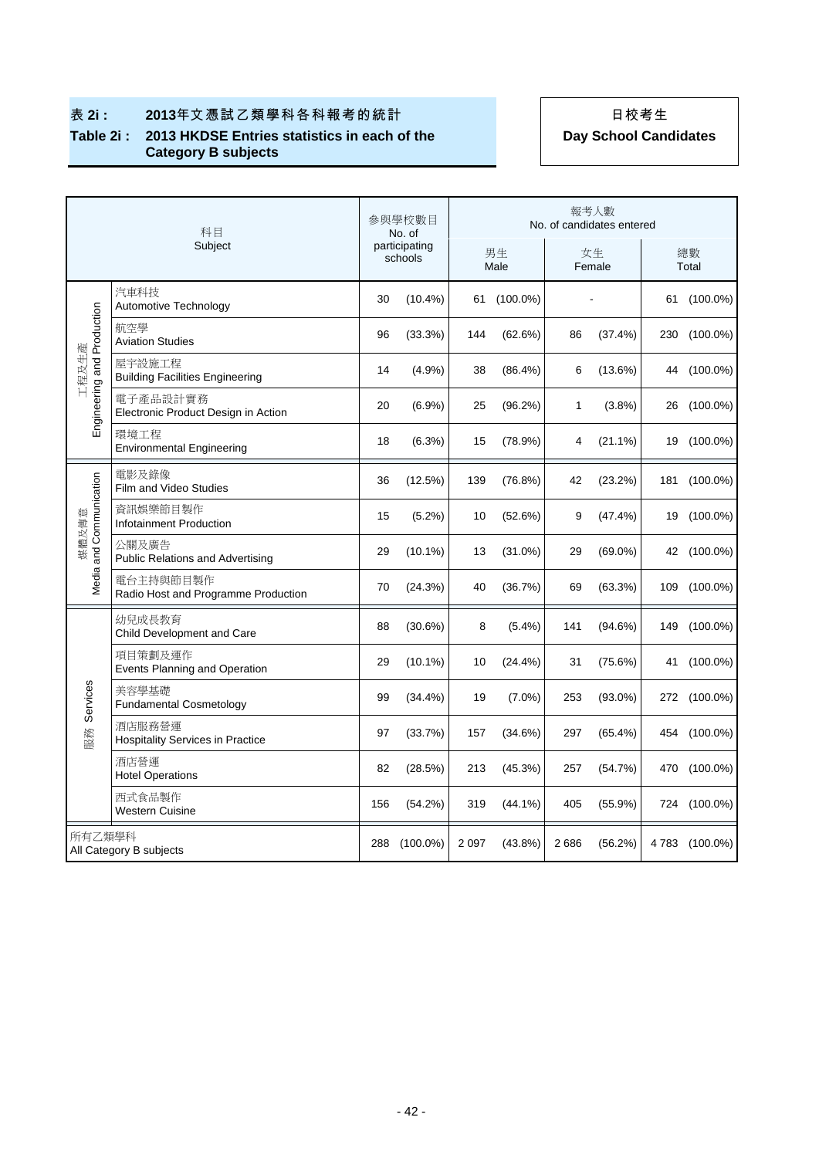|                            | 科目                                                |     | 參與學校數目<br>No. of         |         |             |      | 報考人數<br>No. of candidates entered |                |
|----------------------------|---------------------------------------------------|-----|--------------------------|---------|-------------|------|-----------------------------------|----------------|
|                            | Subject                                           |     | participating<br>schools |         | 男生<br>Male  |      | 女生<br>Female                      | 總數<br>Total    |
|                            | 汽車科技<br>Automotive Technology                     | 30  | $(10.4\%)$               |         | 61 (100.0%) |      |                                   | 61 (100.0%)    |
| Engineering and Production | 航空學<br><b>Aviation Studies</b>                    | 96  | (33.3%)                  | 144     | (62.6%)     | 86   | (37.4%)                           | 230 (100.0%)   |
| 工程及生產                      | 屋宇設施工程<br><b>Building Facilities Engineering</b>  | 14  | (4.9%)                   | 38      | (86.4%)     | 6    | (13.6%)                           | 44 (100.0%)    |
|                            | 電子產品設計實務<br>Electronic Product Design in Action   | 20  | $(6.9\%)$                | 25      | (96.2%)     | 1    | $(3.8\%)$                         | 26 (100.0%)    |
|                            | 環境工程<br><b>Environmental Engineering</b>          | 18  | (6.3%)                   | 15      | (78.9%)     | 4    | $(21.1\%)$                        | 19 (100.0%)    |
|                            | 電影及錄像<br>Film and Video Studies                   | 36  | (12.5%)                  | 139     | (76.8%)     | 42   | (23.2%)                           | 181 (100.0%)   |
| and Communication          | 資訊娛樂節目製作<br>Infotainment Production               | 15  | (5.2%)                   | 10      | (52.6%)     | 9    | (47.4%)                           | 19 (100.0%)    |
| 媒體及傳意                      | 公關及廣告<br><b>Public Relations and Advertising</b>  | 29  | $(10.1\%)$               | 13      | (31.0%)     | 29   | $(69.0\%)$                        | 42 (100.0%)    |
| Media a                    | 電台主持與節目製作<br>Radio Host and Programme Production  | 70  | (24.3%)                  | 40      | (36.7%)     | 69   | (63.3%)                           | 109 (100.0%)   |
|                            | 幼兒成長教育<br>Child Development and Care              | 88  | (30.6%)                  | 8       | $(5.4\%)$   | 141  | (94.6%)                           | 149 (100.0%)   |
|                            | 項目策劃及運作<br>Events Planning and Operation          | 29  | $(10.1\%)$               | 10      | (24.4%)     | 31   | (75.6%)                           | 41 (100.0%)    |
| Services                   | 美容學基礎<br><b>Fundamental Cosmetology</b>           | 99  | $(34.4\%)$               | 19      | $(7.0\%)$   | 253  | $(93.0\%)$                        | 272 (100.0%)   |
| 服務                         | 酒店服務營運<br><b>Hospitality Services in Practice</b> | 97  | (33.7%)                  | 157     | (34.6%)     | 297  | $(65.4\%)$                        | 454 (100.0%)   |
|                            | 酒店營運<br><b>Hotel Operations</b>                   | 82  | (28.5%)                  | 213     | (45.3%)     | 257  | (54.7%)                           | 470 (100.0%)   |
|                            | 西式食品製作<br><b>Western Cuisine</b>                  | 156 | (54.2%)                  | 319     | $(44.1\%)$  | 405  | (55.9%)                           | 724 (100.0%)   |
| 所有乙類學科                     | All Category B subjects                           | 288 | $(100.0\%)$              | 2 0 9 7 | $(43.8\%)$  | 2686 | (56.2%)                           | 4 783 (100.0%) |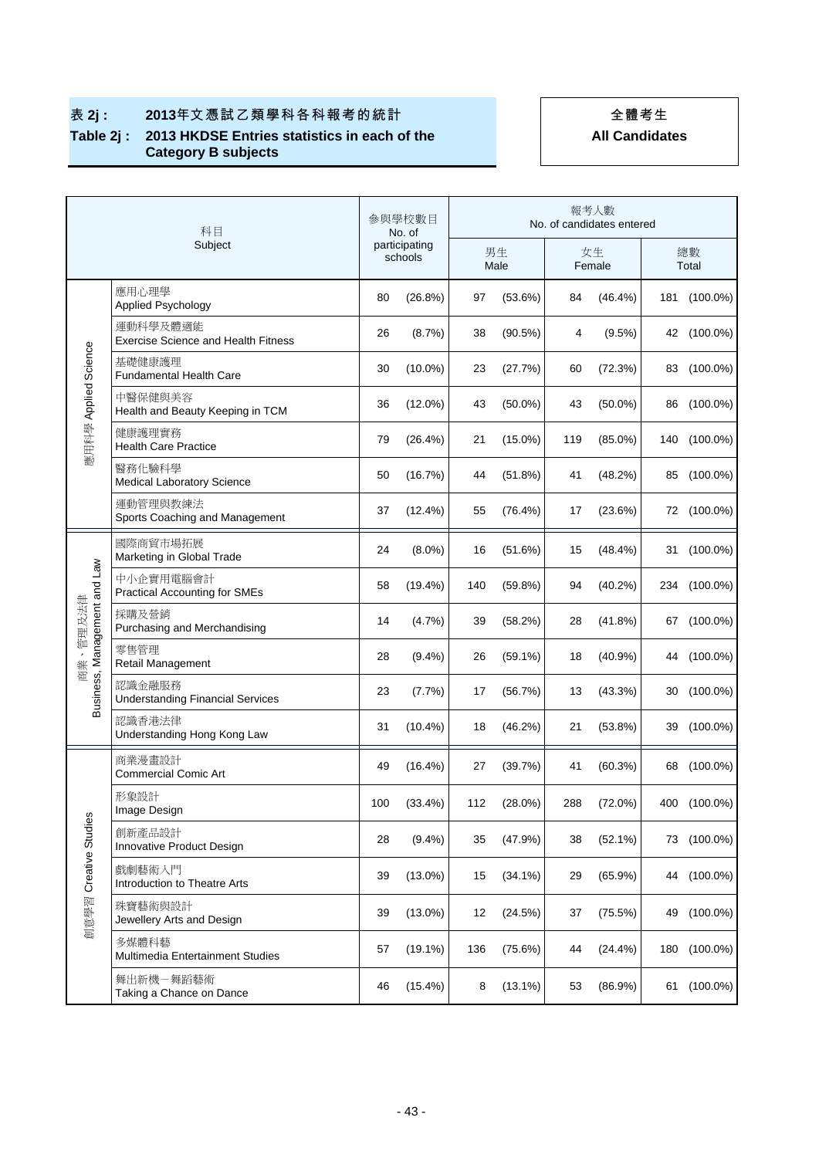# 表 2j: 2013年文憑試乙類學科各科報考的統計 2013年生 **Table 2j : 2013 HKDSE Entries statistics in each of the**

**Category B subjects** 

|                                       | 科目                                                     |     | 參與學校數目<br>No. of         | 報考人數<br>No. of candidates entered |            |     |              |    |              |  |
|---------------------------------------|--------------------------------------------------------|-----|--------------------------|-----------------------------------|------------|-----|--------------|----|--------------|--|
|                                       | Subject                                                |     | participating<br>schools |                                   | 男生<br>Male |     | 女生<br>Female |    | 總數<br>Total  |  |
|                                       | 應用心理學<br>Applied Psychology                            | 80  | (26.8%)                  | 97                                | (53.6%)    | 84  | $(46.4\%)$   |    | 181 (100.0%) |  |
|                                       | 運動科學及體適能<br><b>Exercise Science and Health Fitness</b> | 26  | (8.7%)                   | 38                                | (90.5%)    | 4   | $(9.5\%)$    |    | 42 (100.0%)  |  |
|                                       | 基礎健康護理<br><b>Fundamental Health Care</b>               | 30  | $(10.0\%)$               | 23                                | (27.7%)    | 60  | (72.3%)      |    | 83 (100.0%)  |  |
| 應用科學 Applied Science                  | 中醫保健與美容<br>Health and Beauty Keeping in TCM            | 36  | $(12.0\%)$               | 43                                | $(50.0\%)$ | 43  | $(50.0\%)$   | 86 | $(100.0\%)$  |  |
|                                       | 健康護理實務<br><b>Health Care Practice</b>                  | 79  | $(26.4\%)$               | 21                                | $(15.0\%)$ | 119 | $(85.0\%)$   |    | 140 (100.0%) |  |
|                                       | 醫務化驗科學<br><b>Medical Laboratory Science</b>            | 50  | (16.7%)                  | 44                                | (51.8%)    | 41  | (48.2%)      |    | 85 (100.0%)  |  |
|                                       | 運動管理與教練法<br>Sports Coaching and Management             | 37  | (12.4%)                  | 55                                | (76.4%)    | 17  | (23.6%)      |    | 72 (100.0%)  |  |
|                                       | 國際商貿市場拓展<br>Marketing in Global Trade                  | 24  | $(8.0\%)$                | 16                                | (51.6%)    | 15  | (48.4%)      |    | 31 (100.0%)  |  |
|                                       | 中小企實用電腦會計<br><b>Practical Accounting for SMEs</b>      | 58  | $(19.4\%)$               | 140                               | (59.8%)    | 94  | $(40.2\%)$   |    | 234 (100.0%) |  |
| Business, Management and Law<br>管理及法律 | 採購及營銷<br>Purchasing and Merchandising                  | 14  | (4.7%)                   | 39                                | (58.2%)    | 28  | (41.8%)      |    | 67 (100.0%)  |  |
| 商業                                    | 零售管理<br>Retail Management                              | 28  | $(9.4\%)$                | 26                                | $(59.1\%)$ | 18  | $(40.9\%)$   | 44 | (100.0%)     |  |
|                                       | 認識金融服務<br><b>Understanding Financial Services</b>      | 23  | (7.7%)                   | 17                                | (56.7%)    | 13  | (43.3%)      |    | 30 (100.0%)  |  |
|                                       | 認識香港法律<br>Understanding Hong Kong Law                  | 31  | $(10.4\%)$               | 18                                | (46.2%)    | 21  | (53.8%)      |    | 39 (100.0%)  |  |
|                                       | 商業漫畫設計<br><b>Commercial Comic Art</b>                  | 49  | $(16.4\%)$               | 27                                | (39.7%)    | 41  | (60.3%)      | 68 | $(100.0\%)$  |  |
|                                       | 形象設計<br>Image Design                                   | 100 | $(33.4\%)$               | 112                               | $(28.0\%)$ | 288 | $(72.0\%)$   |    | 400 (100.0%) |  |
|                                       | 創新產品設計<br>Innovative Product Design                    | 28  | $(9.4\%)$                | 35                                | (47.9%)    | 38  | (52.1%)      |    | 73 (100.0%)  |  |
|                                       | 戲劇藝術入門<br>Introduction to Theatre Arts                 | 39  | $(13.0\%)$               | 15                                | $(34.1\%)$ | 29  | $(65.9\%)$   |    | 44 (100.0%)  |  |
| 創意學習 Creative Studies                 | 珠寶藝術與設計<br>Jewellery Arts and Design                   | 39  | $(13.0\%)$               | 12                                | (24.5%)    | 37  | (75.5%)      | 49 | $(100.0\%)$  |  |
|                                       | 多媒體科藝<br>Multimedia Entertainment Studies              | 57  | $(19.1\%)$               | 136                               | (75.6%)    | 44  | (24.4%)      |    | 180 (100.0%) |  |
|                                       | 舞出新機-舞蹈藝術<br>Taking a Chance on Dance                  | 46  | $(15.4\%)$               | 8                                 | $(13.1\%)$ | 53  | $(86.9\%)$   |    | 61 (100.0%)  |  |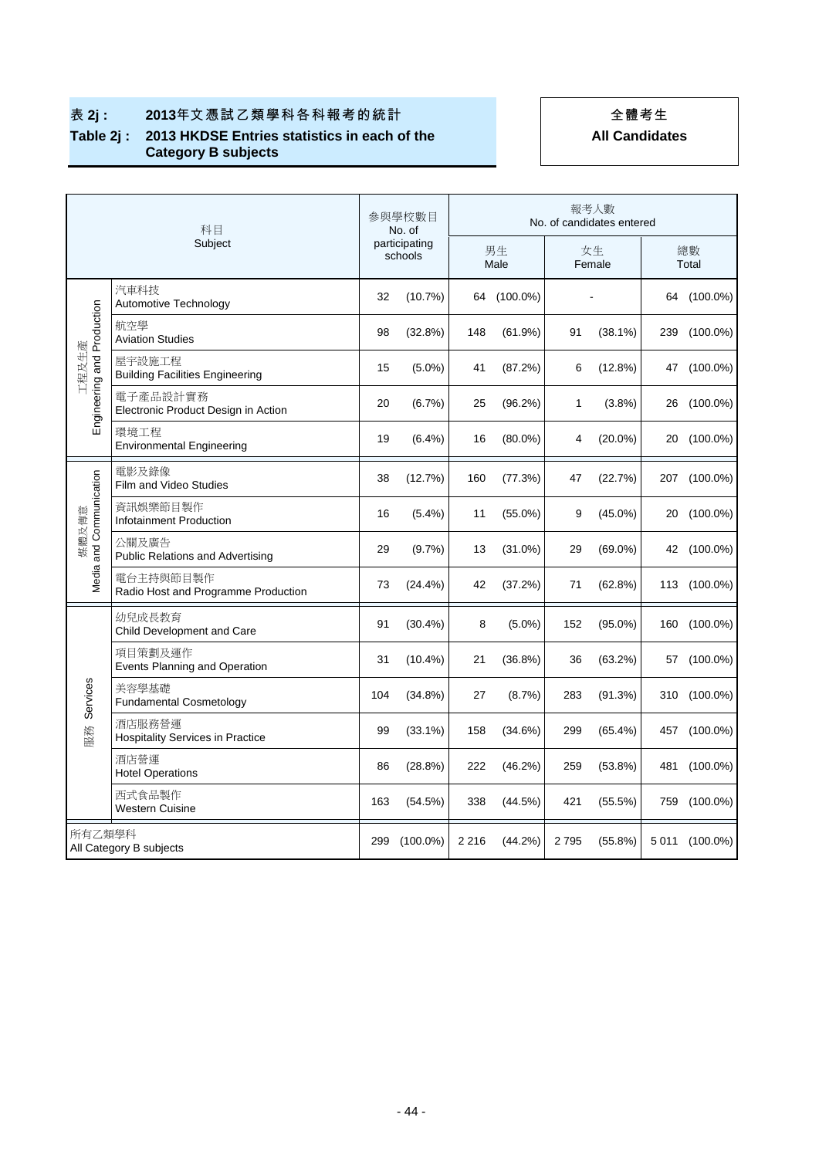# 表 2j: 2013年文憑試乙類學科各科報考的統計 2013年生 **Table 2j : 2013 HKDSE Entries statistics in each of the**

# **All Candidates**

**Category B subjects** 

| 科目<br>Subject                     |                                                   | 參與學校數目<br>No. of<br>participating<br>schools |             | 報考人數<br>No. of candidates entered |             |              |            |             |                |  |
|-----------------------------------|---------------------------------------------------|----------------------------------------------|-------------|-----------------------------------|-------------|--------------|------------|-------------|----------------|--|
|                                   |                                                   |                                              |             | 男生<br>Male                        |             | 女生<br>Female |            | 總數<br>Total |                |  |
| Engineering and Production        | 汽車科技<br>Automotive Technology                     | 32                                           | (10.7%)     |                                   | 64 (100.0%) |              |            |             | 64 (100.0%)    |  |
|                                   | 航空學<br><b>Aviation Studies</b>                    | 98                                           | (32.8%)     | 148                               | (61.9%)     | 91           | $(38.1\%)$ | 239         | $(100.0\%)$    |  |
| 工程及生產                             | 屋宇設施工程<br><b>Building Facilities Engineering</b>  | 15                                           | $(5.0\%)$   | 41                                | (87.2%)     | 6            | $(12.8\%)$ |             | 47 (100.0%)    |  |
|                                   | 電子產品設計實務<br>Electronic Product Design in Action   | 20                                           | (6.7%)      | 25                                | (96.2%)     | 1            | $(3.8\%)$  |             | 26 (100.0%)    |  |
|                                   | 環境工程<br><b>Environmental Engineering</b>          | 19                                           | (6.4%)      | 16                                | $(80.0\%)$  | 4            | $(20.0\%)$ | 20          | $(100.0\%)$    |  |
|                                   | 電影及錄像<br>Film and Video Studies                   | 38                                           | (12.7%)     | 160                               | (77.3%)     | 47           | (22.7%)    | 207         | $(100.0\%)$    |  |
| and Communication<br>媒體及傳意        | 資訊娛樂節目製作<br>Infotainment Production               | 16                                           | $(5.4\%)$   | 11                                | $(55.0\%)$  | 9            | $(45.0\%)$ |             | 20 (100.0%)    |  |
|                                   | 公關及廣告<br><b>Public Relations and Advertising</b>  | 29                                           | (9.7%)      | 13                                | $(31.0\%)$  | 29           | $(69.0\%)$ |             | 42 (100.0%)    |  |
| Media                             | 電台主持與節目製作<br>Radio Host and Programme Production  | 73                                           | $(24.4\%)$  | 42                                | (37.2%)     | 71           | (62.8%)    |             | 113 (100.0%)   |  |
|                                   | 幼兒成長教育<br>Child Development and Care              | 91                                           | $(30.4\%)$  | 8                                 | $(5.0\%)$   | 152          | $(95.0\%)$ |             | 160 (100.0%)   |  |
|                                   | 項目策劃及運作<br>Events Planning and Operation          | 31                                           | $(10.4\%)$  | 21                                | $(36.8\%)$  | 36           | (63.2%)    |             | 57 (100.0%)    |  |
| Services<br>服務                    | 美容學基礎<br><b>Fundamental Cosmetology</b>           | 104                                          | $(34.8\%)$  | 27                                | (8.7%)      | 283          | (91.3%)    |             | 310 (100.0%)   |  |
|                                   | 酒店服務營運<br><b>Hospitality Services in Practice</b> | 99                                           | $(33.1\%)$  | 158                               | (34.6%)     | 299          | $(65.4\%)$ |             | 457 (100.0%)   |  |
|                                   | 酒店營運<br><b>Hotel Operations</b>                   | 86                                           | (28.8%)     | 222                               | (46.2%)     | 259          | $(53.8\%)$ | 481         | $(100.0\%)$    |  |
|                                   | 西式食品製作<br><b>Western Cuisine</b>                  | 163                                          | (54.5%)     | 338                               | (44.5%)     | 421          | $(55.5\%)$ | 759         | $(100.0\%)$    |  |
| 所有乙類學科<br>All Category B subjects |                                                   | 299                                          | $(100.0\%)$ | 2 2 1 6                           | (44.2%)     | 2795         | $(55.8\%)$ |             | 5 011 (100.0%) |  |